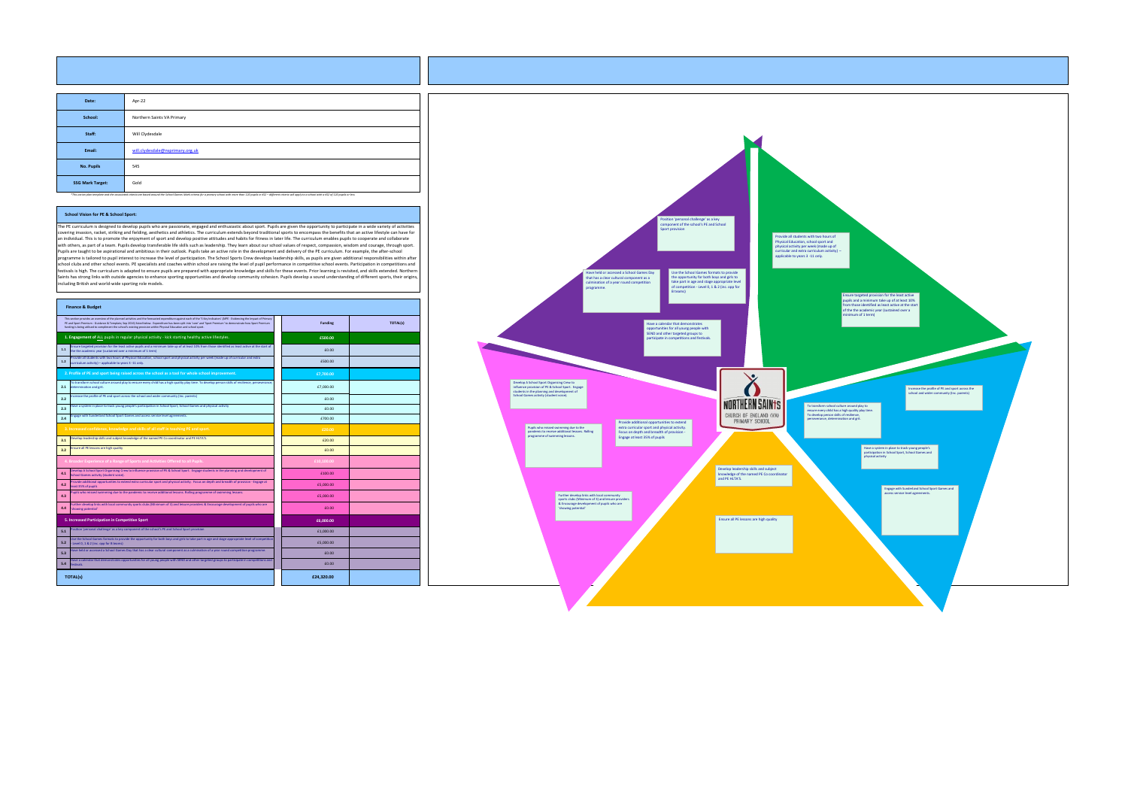#### **School Vision for PE & School Sport:**

The PE curriculum is designed to develop pupils who are passionate, engaged and enthusiastic about sport. Pupils are given the opportunity to participate in a wide variety of activities covering invasion, caket, striking a

|     | <b>Finance &amp; Budget</b>                                                                                                                                                                                                                                                                                                                                                                                                                                          |  |                |                 |  |  |  |  |  |
|-----|----------------------------------------------------------------------------------------------------------------------------------------------------------------------------------------------------------------------------------------------------------------------------------------------------------------------------------------------------------------------------------------------------------------------------------------------------------------------|--|----------------|-----------------|--|--|--|--|--|
|     | This section provides an overview of the planned activities and the forecasted expenditure against each of the 'S Key Indicators' (AfPE - Evidencing the Impact of Primary<br>PE and Sport Premium - Guidance & Template, Sep 2016) listed below. Expenditure has been split into 'core' and 'Sport Premium' to demonstrate how Sport Premium<br>funding is being utilised to compliment the school's existing provision within Physical Education and school sport. |  | <b>Funding</b> | <b>TOTAL(s)</b> |  |  |  |  |  |
|     | 1. Engagement of ALL pupils in regular physical activity - kick starting healthy active lifestyles.                                                                                                                                                                                                                                                                                                                                                                  |  | £500.00        |                 |  |  |  |  |  |
| 1.1 | Ensure targeted provision for the least active pupils and a minimum take up of at least 10% from those identified as least active at the start of<br>the the academic year (sustained over a minimum of 1 term)                                                                                                                                                                                                                                                      |  | £0.00          |                 |  |  |  |  |  |
| 1.2 | Provide all students with two hours of Physical Education, school sport and physical activity per week (made up of curricular and extra<br>curriculum activity) - applicable to years 3 -11 only.                                                                                                                                                                                                                                                                    |  | £500.00        |                 |  |  |  |  |  |
|     | 2. Profile of PE and sport being raised across the school as a tool for whole school improvement.                                                                                                                                                                                                                                                                                                                                                                    |  | £7.700.00      |                 |  |  |  |  |  |
| 2.1 | To transform school culture around play to ensure every child has a high quality play time. To develop person skills of resilience, perseverance,<br>determination and grit.                                                                                                                                                                                                                                                                                         |  | £7,000.00      |                 |  |  |  |  |  |
| 2.2 | Increase the profile of PE and sport across the school and wider community (Inc. parents)                                                                                                                                                                                                                                                                                                                                                                            |  | £0.00          |                 |  |  |  |  |  |
| 2.3 | Have a system in place to track young people's participation in School Sport, School Games and physical activity                                                                                                                                                                                                                                                                                                                                                     |  | £0.00          |                 |  |  |  |  |  |
| 2.4 | Engage with Sunderland School Sport Games and access service level agreements.                                                                                                                                                                                                                                                                                                                                                                                       |  | £700.00        |                 |  |  |  |  |  |
|     | 3. Increased confidence, knowledge and skills of all staff in teaching PE and sport.                                                                                                                                                                                                                                                                                                                                                                                 |  | £20.00         |                 |  |  |  |  |  |
| 3.1 | Develop leadership skills and subject knowledge of the named PE Co coordinator and PE HLTA'S.                                                                                                                                                                                                                                                                                                                                                                        |  | £20.00         |                 |  |  |  |  |  |
| 3.2 | Ensure all PE lessons are high quality                                                                                                                                                                                                                                                                                                                                                                                                                               |  | £0.00          |                 |  |  |  |  |  |
|     | 4. Broader Experience of a Range of Sports and Activities Offered to all Pupils.                                                                                                                                                                                                                                                                                                                                                                                     |  | £10.100.00     |                 |  |  |  |  |  |
| 4.1 | Develop A School Sport Organising Crew to influence provision of PE & School Sport. Engage students in the planning and development of<br>School Games activity (student voice).                                                                                                                                                                                                                                                                                     |  | £100.00        |                 |  |  |  |  |  |
| 4.2 | Provide additional opportunities to extend extra curricular sport and physical activity. Focus on depth and breadth of provision - Engage at<br>least 35% of pupils                                                                                                                                                                                                                                                                                                  |  | £5,000.00      |                 |  |  |  |  |  |
| 4.3 | Pupils who missed swimming due to the pandemic to receive additional lessons. Rolling programme of swimming lessons.                                                                                                                                                                                                                                                                                                                                                 |  | £5,000.00      |                 |  |  |  |  |  |
| 4.4 | Further develop links with local community sports clubs (Minimum of 3) and leisure providers & Encourage development of pupils who are<br>showing potential                                                                                                                                                                                                                                                                                                          |  | £0.00          |                 |  |  |  |  |  |
|     | 5. Increased Participation in Competitive Sport                                                                                                                                                                                                                                                                                                                                                                                                                      |  | £6,000.00      |                 |  |  |  |  |  |
| 5.1 | Position 'personal challenge' as a key component of the school's PE and School Sport provision                                                                                                                                                                                                                                                                                                                                                                       |  | £1,000.00      |                 |  |  |  |  |  |
| 5.2 | Use the School Games formats to provide the opportunity for both boys and girls to take part in age and stage appropriate level of competition<br>Level 0, 1 & 2 (inc. opp for B teams)                                                                                                                                                                                                                                                                              |  | £5,000.00      |                 |  |  |  |  |  |
| 5.3 | Have held or accessed a School Games Day that has a clear cultural component as a culmination of a year round competition programme.                                                                                                                                                                                                                                                                                                                                 |  | £0.00          |                 |  |  |  |  |  |
| 5.4 | Have a calendar that demonstrates opportunities for all young people with SEND and other targeted groups to participate in competitions and<br>festivals.                                                                                                                                                                                                                                                                                                            |  | £0.00          |                 |  |  |  |  |  |
|     | <b>TOTAL(s)</b>                                                                                                                                                                                                                                                                                                                                                                                                                                                      |  | £24.320.00     |                 |  |  |  |  |  |



\*This action plan template and the associated criteria are based around the School Games Mark criteria for a primary school with more than 120 pupils in KS2 – different criteria will apply to a school with a KS2 of 120 pup

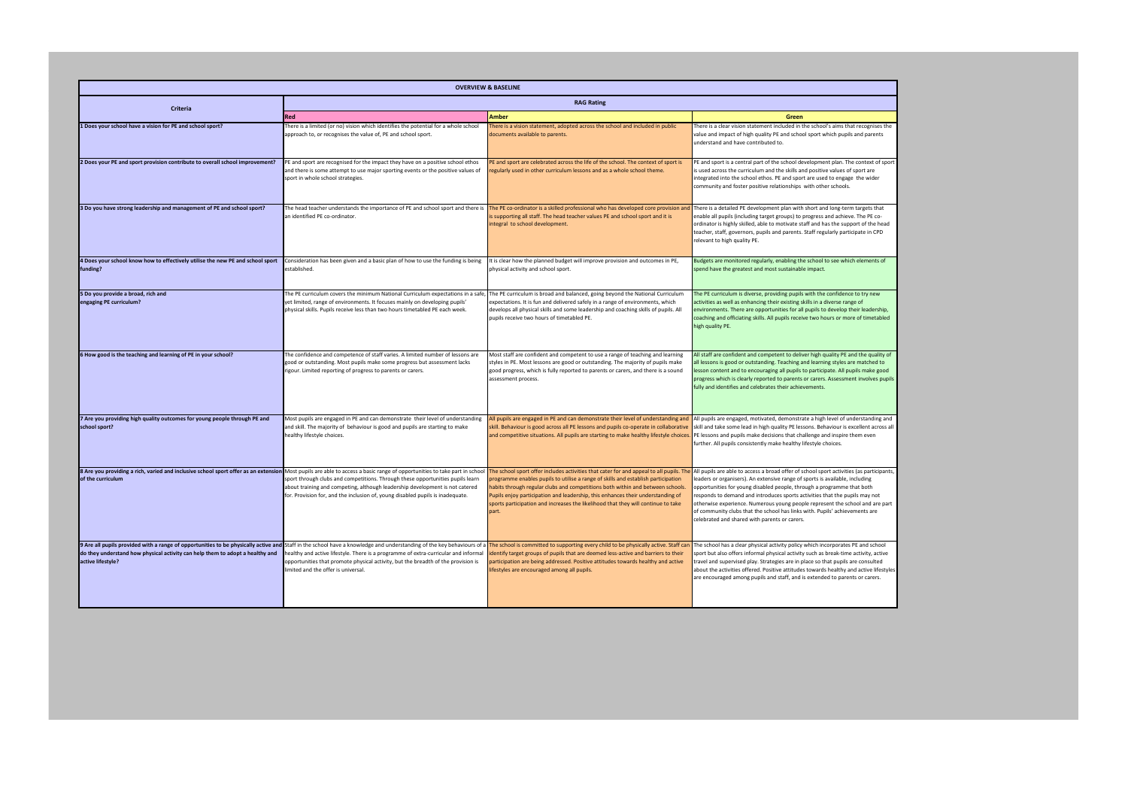|                                                                                                                                                                                                                                                                                            |                                                                                                                                                                                                                                                                                                                                                                                                                              | <b>OVERVIEW &amp; BASELINE</b>                                                                                                                                                                                                                                                                                                                                                                                                                  |                                                                                                                                                                                                                                                                                                                                                                                                                                                                                                                                                   |
|--------------------------------------------------------------------------------------------------------------------------------------------------------------------------------------------------------------------------------------------------------------------------------------------|------------------------------------------------------------------------------------------------------------------------------------------------------------------------------------------------------------------------------------------------------------------------------------------------------------------------------------------------------------------------------------------------------------------------------|-------------------------------------------------------------------------------------------------------------------------------------------------------------------------------------------------------------------------------------------------------------------------------------------------------------------------------------------------------------------------------------------------------------------------------------------------|---------------------------------------------------------------------------------------------------------------------------------------------------------------------------------------------------------------------------------------------------------------------------------------------------------------------------------------------------------------------------------------------------------------------------------------------------------------------------------------------------------------------------------------------------|
| <b>Criteria</b>                                                                                                                                                                                                                                                                            |                                                                                                                                                                                                                                                                                                                                                                                                                              | <b>RAG Rating</b>                                                                                                                                                                                                                                                                                                                                                                                                                               |                                                                                                                                                                                                                                                                                                                                                                                                                                                                                                                                                   |
|                                                                                                                                                                                                                                                                                            | Red                                                                                                                                                                                                                                                                                                                                                                                                                          | <b>Amber</b>                                                                                                                                                                                                                                                                                                                                                                                                                                    | Green                                                                                                                                                                                                                                                                                                                                                                                                                                                                                                                                             |
| 1 Does your school have a vision for PE and school sport?                                                                                                                                                                                                                                  | There is a limited (or no) vision which identifies the potential for a whole school<br>approach to, or recognises the value of, PE and school sport.                                                                                                                                                                                                                                                                         | There is a vision statement, adopted across the school and included in public<br>documents available to parents.                                                                                                                                                                                                                                                                                                                                | There is a clear vision statement included in the school's aims that recognises the<br>value and impact of high quality PE and school sport which pupils and parents<br>understand and have contributed to.                                                                                                                                                                                                                                                                                                                                       |
| 2 Does your PE and sport provision contribute to overall school improvement?                                                                                                                                                                                                               | PE and sport are recognised for the impact they have on a positive school ethos<br>and there is some attempt to use major sporting events or the positive values of<br>sport in whole school strategies.                                                                                                                                                                                                                     | PE and sport are celebrated across the life of the school. The context of sport is<br>regularly used in other curriculum lessons and as a whole school theme.                                                                                                                                                                                                                                                                                   | PE and sport is a central part of the school development plan. The context of sport<br>is used across the curriculum and the skills and positive values of sport are<br>integrated into the school ethos. PE and sport are used to engage the wider<br>community and foster positive relationships with other schools.                                                                                                                                                                                                                            |
| 3 Do you have strong leadership and management of PE and school sport?                                                                                                                                                                                                                     | The head teacher understands the importance of PE and school sport and there is<br>an identified PE co-ordinator.                                                                                                                                                                                                                                                                                                            | The PE co-ordinator is a skilled professional who has developed core provision and<br>is supporting all staff. The head teacher values PE and school sport and it is<br>integral to school development.                                                                                                                                                                                                                                         | There is a detailed PE development plan with short and long-term targets that<br>enable all pupils (including target groups) to progress and achieve. The PE co-<br>ordinator is highly skilled, able to motivate staff and has the support of the head<br>teacher, staff, governors, pupils and parents. Staff regularly participate in CPD<br>relevant to high quality PE.                                                                                                                                                                      |
| 4 Does your school know how to effectively utilise the new PE and school sport<br>funding?                                                                                                                                                                                                 | Consideration has been given and a basic plan of how to use the funding is being<br>established.                                                                                                                                                                                                                                                                                                                             | It is clear how the planned budget will improve provision and outcomes in PE,<br>physical activity and school sport.                                                                                                                                                                                                                                                                                                                            | Budgets are monitored regularly, enabling the school to see which elements of<br>spend have the greatest and most sustainable impact.                                                                                                                                                                                                                                                                                                                                                                                                             |
| 5 Do you provide a broad, rich and<br>engaging PE curriculum?                                                                                                                                                                                                                              | The PE curriculum covers the minimum National Curriculum expectations in a safe,<br>yet limited, range of environments. It focuses mainly on developing pupils'<br>physical skills. Pupils receive less than two hours timetabled PE each week.                                                                                                                                                                              | The PE curriculum is broad and balanced, going beyond the National Curriculum<br>expectations. It is fun and delivered safely in a range of environments, which<br>develops all physical skills and some leadership and coaching skills of pupils. All<br>pupils receive two hours of timetabled PE.                                                                                                                                            | The PE curriculum is diverse, providing pupils with the confidence to try new<br>activities as well as enhancing their existing skills in a diverse range of<br>environments. There are opportunities for all pupils to develop their leadership,<br>coaching and officiating skills. All pupils receive two hours or more of timetabled<br>high quality PE.                                                                                                                                                                                      |
| 6 How good is the teaching and learning of PE in your school?<br>The confidence and competence of staff varies. A limited number of lessons are<br>good or outstanding. Most pupils make some progress but assessment lacks<br>rigour. Limited reporting of progress to parents or carers. |                                                                                                                                                                                                                                                                                                                                                                                                                              | Most staff are confident and competent to use a range of teaching and learning<br>styles in PE. Most lessons are good or outstanding. The majority of pupils make<br>good progress, which is fully reported to parents or carers, and there is a sound<br>assessment process.                                                                                                                                                                   | All staff are confident and competent to deliver high quality PE and the quality of<br>all lessons is good or outstanding. Teaching and learning styles are matched to<br>lesson content and to encouraging all pupils to participate. All pupils make good<br>progress which is clearly reported to parents or carers. Assessment involves pupils<br>fully and identifies and celebrates their achievements.                                                                                                                                     |
| 7 Are you providing high quality outcomes for young people through PE and<br>school sport?                                                                                                                                                                                                 | Most pupils are engaged in PE and can demonstrate their level of understanding<br>and skill. The majority of behaviour is good and pupils are starting to make<br>healthy lifestyle choices.                                                                                                                                                                                                                                 | All pupils are engaged in PE and can demonstrate their level of understanding and  All pupils are engaged, motivated, demonstrate a high level of understanding and<br>skill. Behaviour is good across all PE lessons and pupils co-operate in collaborative<br>and competitive situations. All pupils are starting to make healthy lifestyle choices.                                                                                          | skill and take some lead in high quality PE lessons. Behaviour is excellent across all<br>PE lessons and pupils make decisions that challenge and inspire them even<br>further. All pupils consistently make healthy lifestyle choices.                                                                                                                                                                                                                                                                                                           |
| of the curriculum                                                                                                                                                                                                                                                                          | 8 Are you providing a rich, varied and inclusive school sport offer as an extension Most pupils are able to access a basic range of opportunities to take part in school<br>sport through clubs and competitions. Through these opportunities pupils learn<br>about training and competing, although leadership development is not catered<br>for. Provision for, and the inclusion of, young disabled pupils is inadequate. | The school sport offer includes activities that cater for and appeal to all pupils. The<br>programme enables pupils to utilise a range of skills and establish participation<br>habits through regular clubs and competitions both within and between schools.<br>Pupils enjoy participation and leadership, this enhances their understanding of<br>sports participation and increases the likelihood that they will continue to take<br>part. | All pupils are able to access a broad offer of school sport activities (as participants,<br>eaders or organisers). An extensive range of sports is available, including<br>opportunities for young disabled people, through a programme that both<br>responds to demand and introduces sports activities that the pupils may not<br>otherwise experience. Numerous young people represent the school and are part<br>of community clubs that the school has links with. Pupils' achievements are<br>celebrated and shared with parents or carers. |
| do they understand how physical activity can help them to adopt a healthy and<br>active lifestyle?                                                                                                                                                                                         | 9 Are all pupils provided with a range of opportunities to be physically active and Staff in the school have a knowledge and understanding of the key behaviours of a<br>healthy and active lifestyle. There is a programme of extra-curricular and informal<br>opportunities that promote physical activity, but the breadth of the provision is<br>limited and the offer is universal.                                     | The school is committed to supporting every child to be physically active. Staff can<br>identify target groups of pupils that are deemed less-active and barriers to their<br>participation are being addressed. Positive attitudes towards healthy and active<br>lifestyles are encouraged among all pupils.                                                                                                                                   | The school has a clear physical activity policy which incorporates PE and school<br>sport but also offers informal physical activity such as break-time activity, active<br>travel and supervised play. Strategies are in place so that pupils are consulted<br>about the activities offered. Positive attitudes towards healthy and active lifestyles<br>are encouraged among pupils and staff, and is extended to parents or carers.                                                                                                            |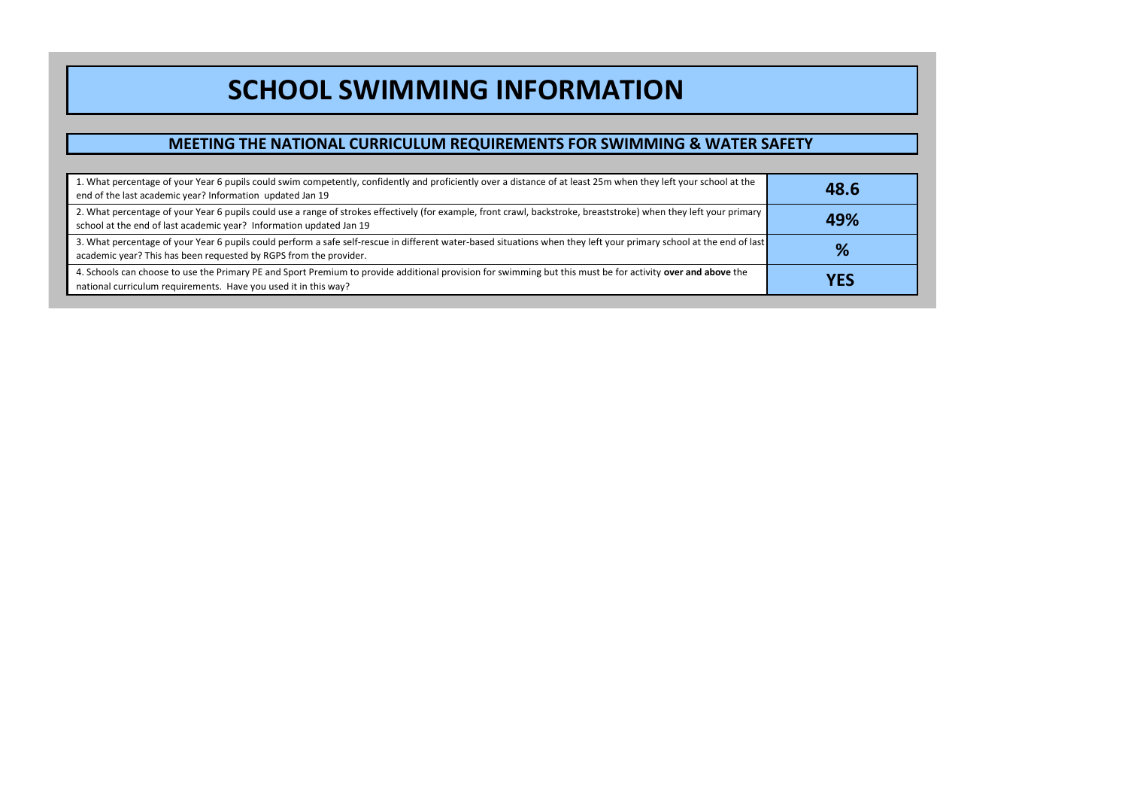# **SCHOOL SWIMMING INFORMATION**

## **MEETING THE NATIONAL CURRICULUM REQUIREMENTS FOR SWIMMING & WATER SAFETY**

| 1. What percentage of your Year 6 pupils could swim competently, confidently and proficiently over a distance of at least 25m when they left your school at the<br>end of the last academic year? Information updated Jan 19              | 48.6 |
|-------------------------------------------------------------------------------------------------------------------------------------------------------------------------------------------------------------------------------------------|------|
| 2. What percentage of your Year 6 pupils could use a range of strokes effectively (for example, front crawl, backstroke, breaststroke) when they left your primary<br>school at the end of last academic year? Information updated Jan 19 | 49%  |
| 3. What percentage of your Year 6 pupils could perform a safe self-rescue in different water-based situations when they left your primary school at the end of last<br>academic year? This has been requested by RGPS from the provider.  |      |
| 4. Schools can choose to use the Primary PE and Sport Premium to provide additional provision for swimming but this must be for activity over and above the<br>national curriculum requirements. Have you used it in this way?            |      |

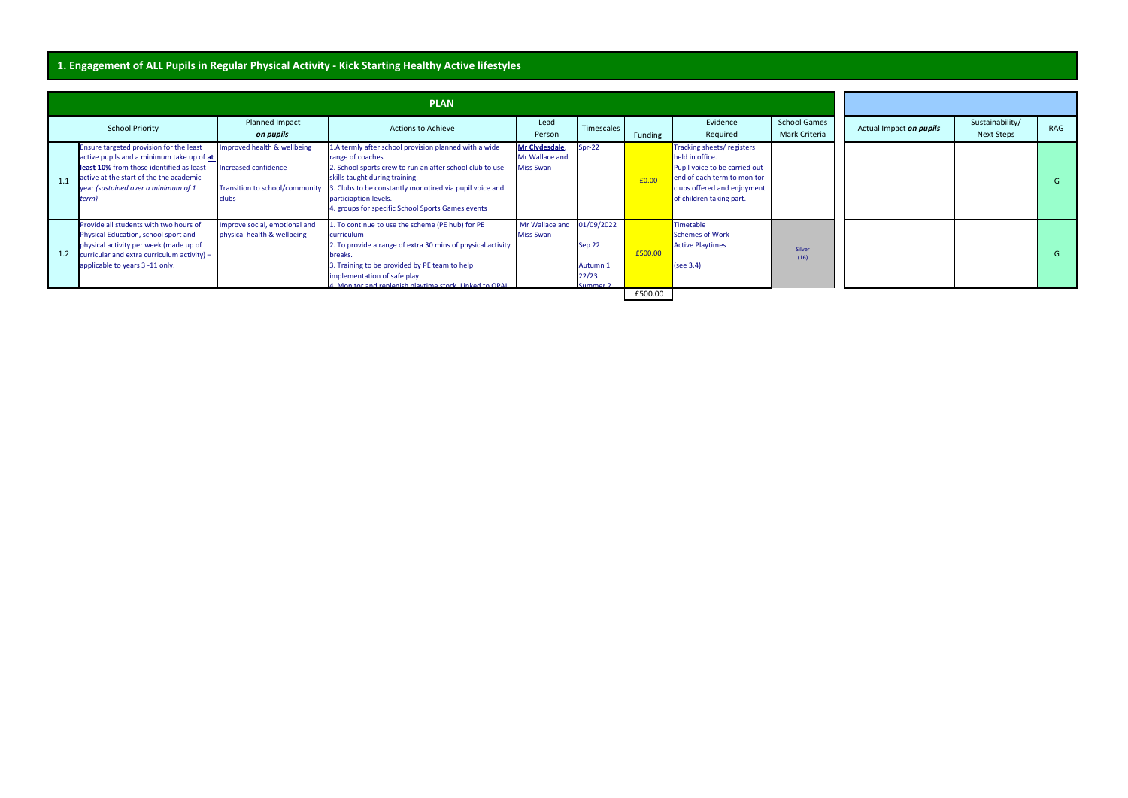|     |                                                                                                                                                                                                                             |                                                                                                | <b>PLAN</b>                                                                                                                                                                                                                                                                                                      |                                               |                                                       |         |                                                                                                                                                                         |                                      |                         |                               |            |
|-----|-----------------------------------------------------------------------------------------------------------------------------------------------------------------------------------------------------------------------------|------------------------------------------------------------------------------------------------|------------------------------------------------------------------------------------------------------------------------------------------------------------------------------------------------------------------------------------------------------------------------------------------------------------------|-----------------------------------------------|-------------------------------------------------------|---------|-------------------------------------------------------------------------------------------------------------------------------------------------------------------------|--------------------------------------|-------------------------|-------------------------------|------------|
|     | <b>School Priority</b>                                                                                                                                                                                                      | Planned Impact<br>on pupils                                                                    | <b>Actions to Achieve</b>                                                                                                                                                                                                                                                                                        | Lead<br>Person                                | Timescales                                            | Funding | Evidence<br>Required                                                                                                                                                    | <b>School Games</b><br>Mark Criteria | Actual Impact on pupils | Sustainability/<br>Next Steps | <b>RAG</b> |
| 1.1 | Ensure targeted provision for the least<br>active pupils and a minimum take up of at<br>least 10% from those identified as least<br>active at the start of the the academic<br>year (sustained over a minimum of 1<br>term) | Improved health & wellbeing<br>Increased confidence<br>Transition to school/community<br>clubs | 1.A termly after school provision planned with a wide<br>range of coaches<br>2. School sports crew to run an after school club to use<br>skills taught during training.<br>3. Clubs to be constantly monotired via pupil voice and<br>particiaption levels.<br>4. groups for specific School Sports Games events | Mr Clydesdale,<br>Mr Wallace and<br>Miss Swan | $Spr-22$                                              | £0.00   | Tracking sheets/registers<br>held in office.<br>Pupil voice to be carried out<br>end of each term to monitor<br>clubs offered and enjoyment<br>of children taking part. |                                      |                         |                               | G.         |
| 1.2 | Provide all students with two hours of<br>Physical Education, school sport and<br>physical activity per week (made up of<br>curricular and extra curriculum activity) $-$<br>applicable to years 3 -11 only.                | Improve social, emotional and<br>physical health & wellbeing                                   | 1. To continue to use the scheme (PE hub) for PE<br>curriculum<br>2. To provide a range of extra 30 mins of physical activity<br>breaks.<br>3. Training to be provided by PE team to help<br>implementation of safe play<br>4 Monitor and replenish playtime stock Linked to OPAL                                | Mr Wallace and<br><b>Miss Swan</b>            | 01/09/2022<br>Sep 22<br>Autumn 1<br>22/23<br>Summer 2 | £500.00 | Timetable<br>Schemes of Work<br><b>Active Playtimes</b><br>(see 3.4)                                                                                                    | Silver<br>(16)                       |                         |                               | G.         |
|     |                                                                                                                                                                                                                             |                                                                                                |                                                                                                                                                                                                                                                                                                                  |                                               |                                                       | £500.00 |                                                                                                                                                                         |                                      |                         |                               |            |

### **1. Engagement of ALL Pupils in Regular Physical Activity - Kick Starting Healthy Active lifestyles**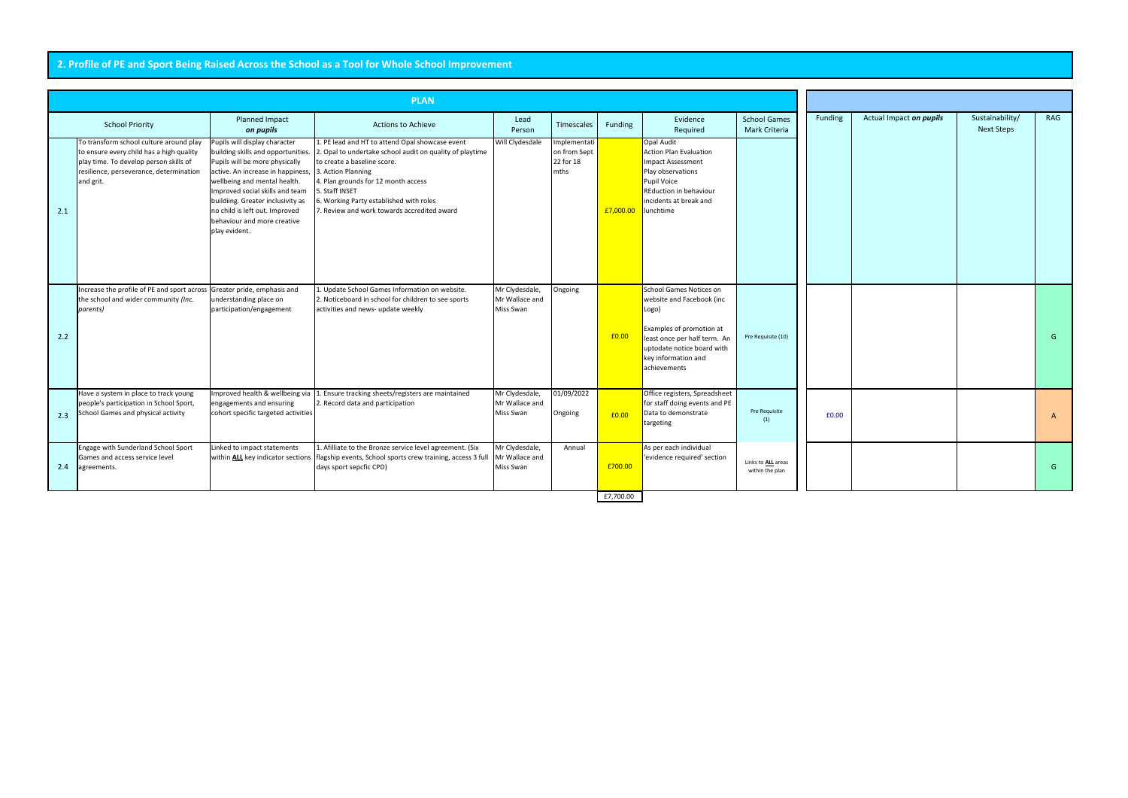|     |                                                                                                                                                                                       |                                                                                                                                                                                                                                                                                                                                      | <b>PLAN</b>                                                                                                                                                                                                                                                                                                         |                                               |                                                   |           |                                                                                                                                                                                                       |                                              |         |                         |                                      |     |
|-----|---------------------------------------------------------------------------------------------------------------------------------------------------------------------------------------|--------------------------------------------------------------------------------------------------------------------------------------------------------------------------------------------------------------------------------------------------------------------------------------------------------------------------------------|---------------------------------------------------------------------------------------------------------------------------------------------------------------------------------------------------------------------------------------------------------------------------------------------------------------------|-----------------------------------------------|---------------------------------------------------|-----------|-------------------------------------------------------------------------------------------------------------------------------------------------------------------------------------------------------|----------------------------------------------|---------|-------------------------|--------------------------------------|-----|
|     | <b>School Priority</b>                                                                                                                                                                | Planned Impact<br>on pupils                                                                                                                                                                                                                                                                                                          | Actions to Achieve                                                                                                                                                                                                                                                                                                  | Lead<br>Person                                | Timescales                                        | Funding   | Evidence<br>Required                                                                                                                                                                                  | <b>School Games</b><br>Mark Criteria         | Funding | Actual Impact on pupils | Sustainability/<br><b>Next Steps</b> | RAG |
| 2.1 | To transform school culture around play<br>to ensure every child has a high quality<br>play time. To develop person skills of<br>resilience, perseverance, determination<br>and grit. | Pupils will display character<br>building skills and opportunities.<br>Pupils will be more physically<br>active. An increase in happiness,<br>wellbeing and mental health.<br>Improved social skills and team<br>buildiing. Greater inclusivity as<br>no child is left out. Improved<br>behaviour and more creative<br>play evident. | 1. PE lead and HT to attend Opal showcase event<br>2. Opal to undertake school audit on quality of playtime<br>to create a baseline score.<br>3. Action Planning<br>4. Plan grounds for 12 month access<br>5. Staff INSET<br>6. Working Party established with roles<br>7. Review and work towards accredited award | Will Clydesdale                               | Implementati<br>on from Sept<br>22 for 18<br>mths | £7,000.00 | <b>Opal Audit</b><br><b>Action Plan Evaluation</b><br><b>Impact Assessment</b><br>Play observations<br>Pupil Voice<br><b>REduction in behaviour</b><br>incidents at break and<br>lunchtime            |                                              |         |                         |                                      |     |
| 2.2 | Increase the profile of PE and sport across Greater pride, emphasis and<br>the school and wider community (Inc.<br>parents)                                                           | understanding place on<br>participation/engagement                                                                                                                                                                                                                                                                                   | 1. Update School Games Information on website.<br>2. Noticeboard in school for children to see sports<br>activities and news- update weekly                                                                                                                                                                         | Mr Clydesdale,<br>Mr Wallace and<br>Miss Swan | Ongoing                                           | £0.00     | <b>School Games Notices on</b><br>website and Facebook (inc<br>Logo)<br>Examples of promotion at<br>least once per half term. An<br>uptodate notice board with<br>key information and<br>achievements | Pre Requisite (10)                           |         |                         |                                      | G   |
| 2.3 | Have a system in place to track young<br>people's participation in School Sport,<br>School Games and physical activity                                                                | engagements and ensuring<br>cohort specific targeted activities                                                                                                                                                                                                                                                                      | Improved health & wellbeing via 1. Ensure tracking sheets/registers are maintained<br>2. Record data and participation                                                                                                                                                                                              | Mr Clydesdale,<br>Mr Wallace and<br>Miss Swan | 01/09/2022<br>Ongoing                             | £0.00     | Office registers, Spreadsheet<br>for staff doing events and PE<br>Data to demonstrate<br>targeting                                                                                                    | Pre Requisite<br>(1)                         | £0.00   |                         |                                      | A   |
| 2.4 | Engage with Sunderland School Sport<br>Games and access service level<br>agreements.                                                                                                  | Linked to impact statements<br>within ALL key indicator sections                                                                                                                                                                                                                                                                     | 1. Afilliate to the Bronze service level agreement. (Six<br>flagship events, School sports crew training, access 3 full<br>days sport sepcfic CPD)                                                                                                                                                                  | Mr Clydesdale,<br>Mr Wallace and<br>Miss Swan | Annual                                            | £700.00   | As per each individual<br>'evidence required' section                                                                                                                                                 | Links to <b>ALL</b> areas<br>within the plan |         |                         |                                      | G   |
|     |                                                                                                                                                                                       |                                                                                                                                                                                                                                                                                                                                      |                                                                                                                                                                                                                                                                                                                     |                                               |                                                   | £7,700.00 |                                                                                                                                                                                                       |                                              |         |                         |                                      |     |

#### **2. Profile of PE and Sport Being Raised Across the School as a Tool for Whole School Improvement**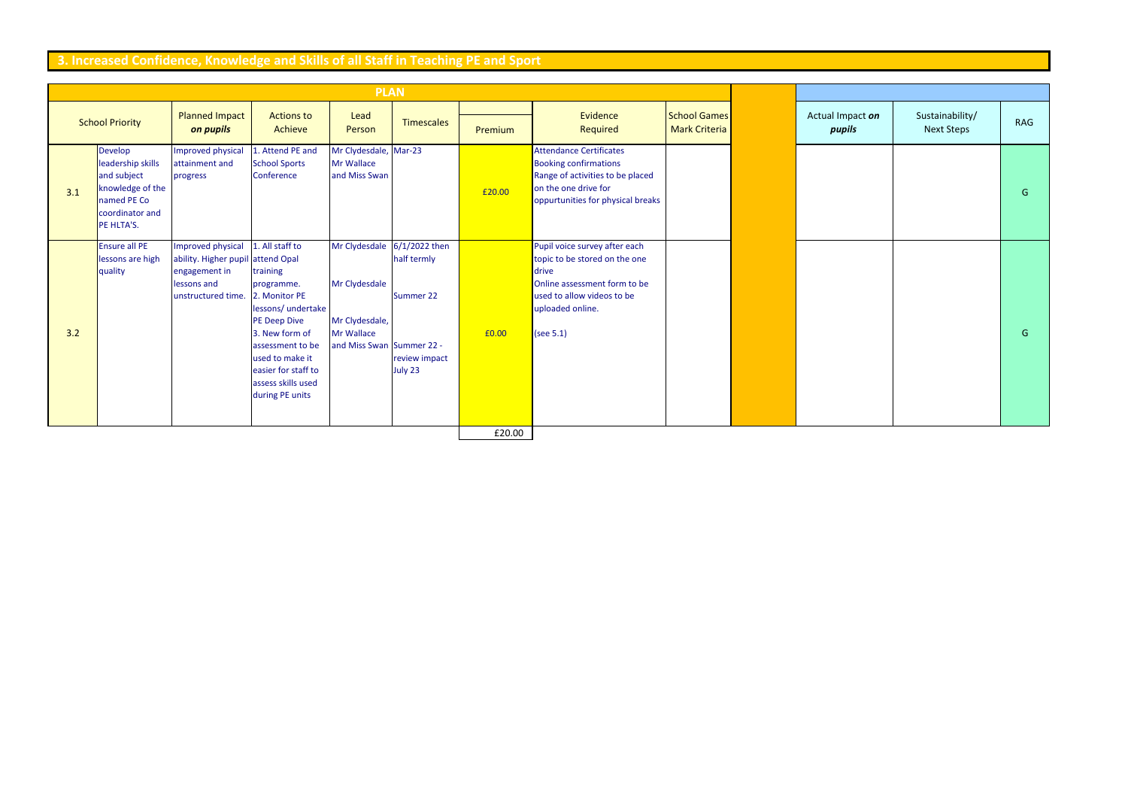|                        |                                                                                                                 |                                                                                                              |                                                                                                                                                                                                                           | <b>PLAN</b>                                                                |                                                                                     |                 |                                                                                                                                                                        |                                             |                            |                                      |     |
|------------------------|-----------------------------------------------------------------------------------------------------------------|--------------------------------------------------------------------------------------------------------------|---------------------------------------------------------------------------------------------------------------------------------------------------------------------------------------------------------------------------|----------------------------------------------------------------------------|-------------------------------------------------------------------------------------|-----------------|------------------------------------------------------------------------------------------------------------------------------------------------------------------------|---------------------------------------------|----------------------------|--------------------------------------|-----|
| <b>School Priority</b> |                                                                                                                 | <b>Planned Impact</b><br>on pupils                                                                           | <b>Actions to</b><br>Achieve                                                                                                                                                                                              | Lead<br>Person                                                             | <b>Timescales</b>                                                                   | Premium         | Evidence<br>Required                                                                                                                                                   | <b>School Games</b><br><b>Mark Criteria</b> | Actual Impact on<br>pupils | Sustainability/<br><b>Next Steps</b> | RAG |
| 3.1                    | Develop<br>leadership skills<br>and subject<br>knowledge of the<br>named PE Co<br>coordinator and<br>PE HLTA'S. | Improved physical<br>attainment and<br>progress                                                              | L. Attend PE and<br><b>School Sports</b><br>Conference                                                                                                                                                                    | Mr Clydesdale, Mar-23<br>Mr Wallace<br>and Miss Swan                       |                                                                                     | £20.00          | <b>Attendance Certificates</b><br><b>Booking confirmations</b><br>Range of activities to be placed<br>on the one drive for<br>oppurtunities for physical breaks        |                                             |                            |                                      | G   |
| 3.2                    | <b>Ensure all PE</b><br>lessons are high<br>quality                                                             | Improved physical<br>ability. Higher pupil attend Opal<br>engagement in<br>lessons and<br>unstructured time. | 1. All staff to<br>training<br>programme.<br>2. Monitor PE<br>lessons/ undertake<br>PE Deep Dive<br>3. New form of<br>assessment to be<br>used to make it<br>easier for staff to<br>assess skills used<br>during PE units | Mr Clydesdale<br>Mr Clydesdale,<br>Mr Wallace<br>and Miss Swan Summer 22 - | Mr Clydesdale 6/1/2022 then<br>half termly<br>Summer 22<br>review impact<br>July 23 | £0.00           | Pupil voice survey after each<br>topic to be stored on the one<br>drive<br>Online assessment form to be<br>used to allow videos to be<br>uploaded online.<br>(see 5.1) |                                             |                            |                                      | G   |
|                        |                                                                                                                 |                                                                                                              |                                                                                                                                                                                                                           |                                                                            |                                                                                     | $f \cap \Omega$ |                                                                                                                                                                        |                                             |                            |                                      |     |

 $E$ 20.00

## **3. Increased Confidence, Knowledge and Skills of all Staff in Teaching PE and Sport**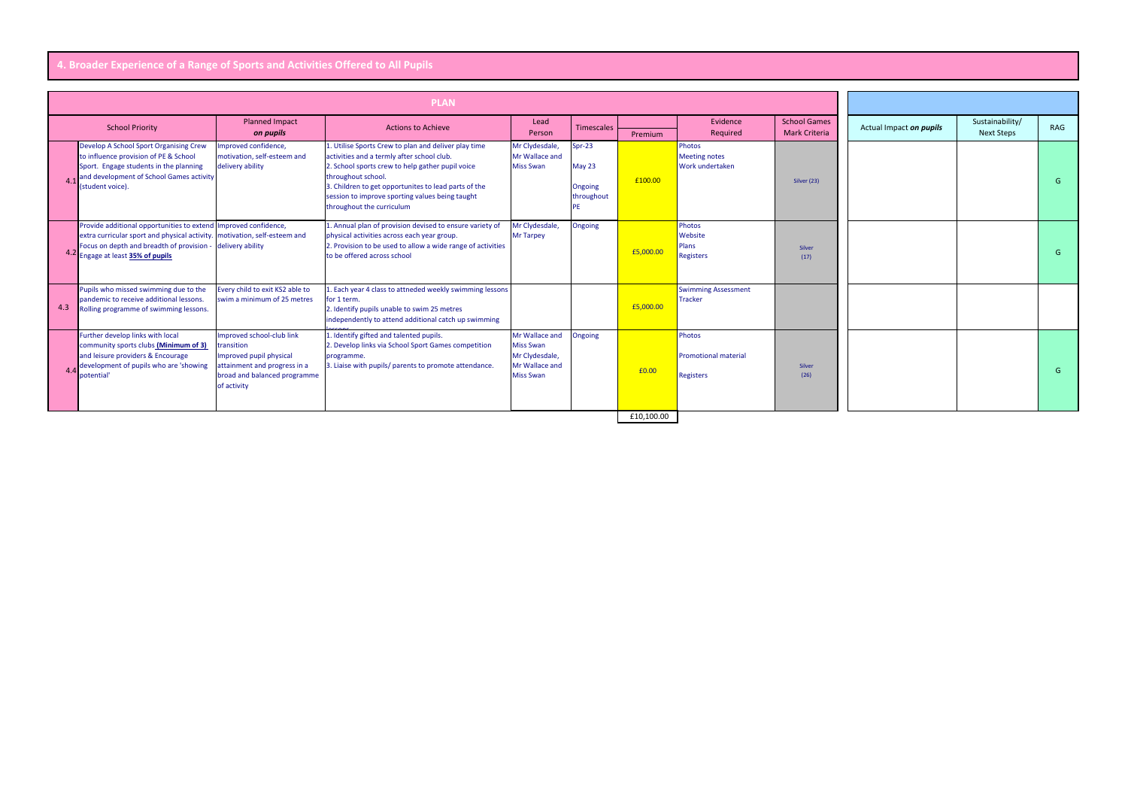|     | <b>School Priority</b>                                                                                                                                                                                                     | <b>Planned Impact</b><br>on pupils                                                                                                                | <b>Actions to Achieve</b>                                                                                                                                                                                                                                                                                            | Lead<br>Person                                                                             | <b>Timescales</b>                                      | Premium               | Evidence<br>Required                                             | <b>School Games</b><br><b>Mark Criteria</b> | Actual Impact on pupils | Sustainability/<br><b>Next Steps</b> | RAG |
|-----|----------------------------------------------------------------------------------------------------------------------------------------------------------------------------------------------------------------------------|---------------------------------------------------------------------------------------------------------------------------------------------------|----------------------------------------------------------------------------------------------------------------------------------------------------------------------------------------------------------------------------------------------------------------------------------------------------------------------|--------------------------------------------------------------------------------------------|--------------------------------------------------------|-----------------------|------------------------------------------------------------------|---------------------------------------------|-------------------------|--------------------------------------|-----|
|     | Develop A School Sport Organising Crew<br>to influence provision of PE & School<br>Sport. Engage students in the planning<br>and development of School Games activity<br>(student voice).                                  | Improved confidence,<br>motivation, self-esteem and<br>delivery ability                                                                           | L. Utilise Sports Crew to plan and deliver play time<br>activities and a termly after school club.<br>2. School sports crew to help gather pupil voice<br>throughout school.<br>3. Children to get opportunites to lead parts of the<br>session to improve sporting values being taught<br>throughout the curriculum | Mr Clydesdale,<br>Mr Wallace and<br><b>Miss Swan</b>                                       | $Spr-23$<br>May <sub>23</sub><br>Ongoing<br>throughout | £100.00               | Photos<br><b>Meeting notes</b><br>Work undertaken                | Silver (23)                                 |                         |                                      | G.  |
|     | Provide additional opportunities to extend Improved confidence,<br>extra curricular sport and physical activity. motivation, self-esteem and<br>Focus on depth and breadth of provision -<br>Engage at least 35% of pupils | delivery ability                                                                                                                                  | L. Annual plan of provision devised to ensure variety of<br>physical activities across each year group.<br>2. Provision to be used to allow a wide range of activities<br>to be offered across school                                                                                                                | Mr Clydesdale,<br><b>Mr Tarpey</b>                                                         | Ongoing                                                | £5,000.00             | <b>Photos</b><br>Website<br><b>Plans</b><br><b>Registers</b>     | Silver<br>(17)                              |                         |                                      | G.  |
| 4.3 | Pupils who missed swimming due to the<br>pandemic to receive additional lessons.<br>Rolling programme of swimming lessons.                                                                                                 | Every child to exit KS2 able to<br>swim a minimum of 25 metres                                                                                    | L. Each year 4 class to attneded weekly swimming lessons<br>for 1 term.<br>2. Identify pupils unable to swim 25 metres<br>independently to attend additional catch up swimming                                                                                                                                       |                                                                                            |                                                        | £5,000.00             | <b>Swimming Assessment</b><br><b>Tracker</b>                     |                                             |                         |                                      |     |
|     | Further develop links with local<br>community sports clubs (Minimum of 3)<br>and leisure providers & Encourage<br>development of pupils who are 'showing<br>potential                                                      | Improved school-club link<br>transition<br>Improved pupil physical<br>attainment and progress in a<br>broad and balanced programme<br>of activity | 1. Identify gifted and talented pupils.<br>2. Develop links via School Sport Games competition<br>programme.<br>3. Liaise with pupils/ parents to promote attendance.                                                                                                                                                | Mr Wallace and<br><b>Miss Swan</b><br>Mr Clydesdale,<br>Mr Wallace and<br><b>Miss Swan</b> | Ongoing                                                | £0.00<br>510, 100, 00 | <b>Photos</b><br><b>Promotional material</b><br><b>Registers</b> | <b>Silver</b><br>(26)                       |                         |                                      | G.  |

£10,100.00

### **4. Broader Experience of a Range of Sports and Activities Offered to All Pupils**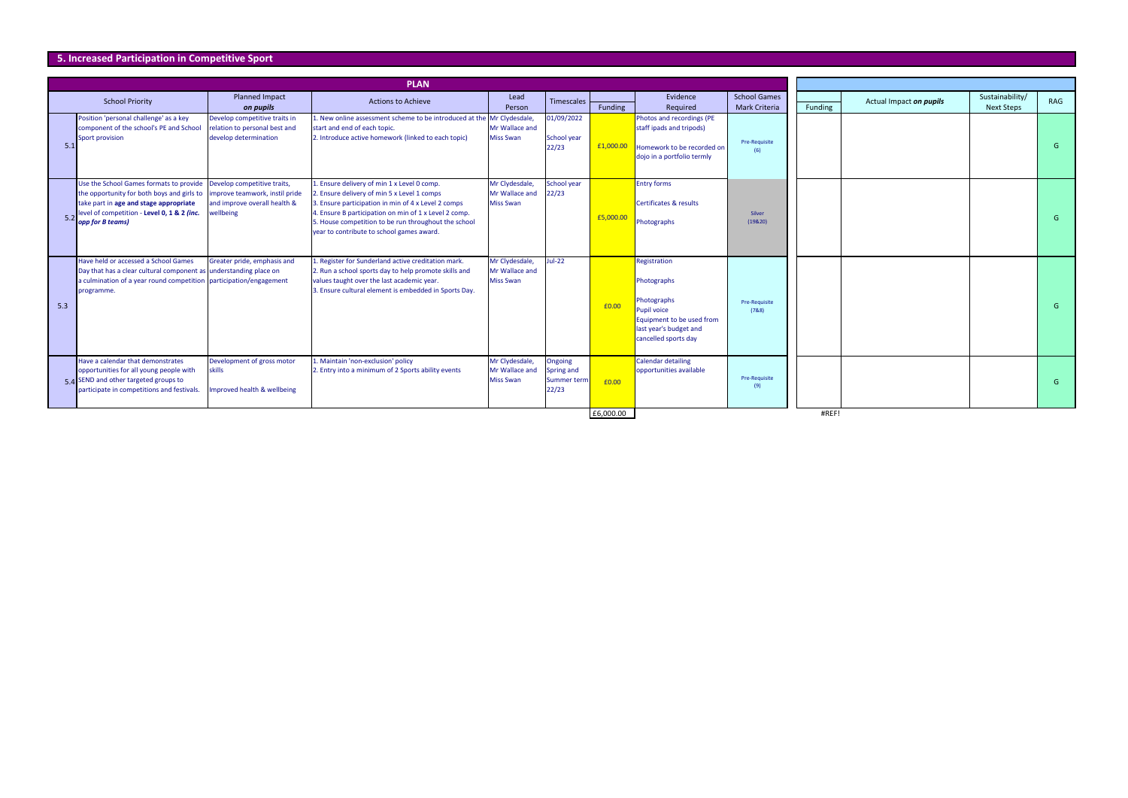|     | <b>PLAN</b>                                                               |                                                        |                                                                                                               |                                    |             |           |                                   |                         |         |                         |                   |     |
|-----|---------------------------------------------------------------------------|--------------------------------------------------------|---------------------------------------------------------------------------------------------------------------|------------------------------------|-------------|-----------|-----------------------------------|-------------------------|---------|-------------------------|-------------------|-----|
|     | <b>School Priority</b>                                                    | Planned Impact                                         | <b>Actions to Achieve</b>                                                                                     | Lead                               | Timescales  |           | Evidence                          | <b>School Games</b>     |         | Actual Impact on pupils | Sustainability/   | RAG |
|     |                                                                           | on pupils                                              |                                                                                                               | Person                             |             | Funding   | Required                          | <b>Mark Criteria</b>    | Funding |                         | <b>Next Steps</b> |     |
|     | Position 'personal challenge' as a key                                    | Develop competitive traits in                          | 1. New online assessment scheme to be introduced at the Mr Clydesdale,                                        |                                    | 01/09/2022  |           | Photos and recordings (PE         |                         |         |                         |                   |     |
|     | component of the school's PE and School<br>Sport provision                | relation to personal best and<br>develop determination | start and end of each topic.<br>2. Introduce active homework (linked to each topic)                           | Mr Wallace and<br><b>Miss Swan</b> | School year |           | staff ipads and tripods)          |                         |         |                         |                   |     |
| 5.1 |                                                                           |                                                        |                                                                                                               |                                    | 22/23       | £1,000.00 | Homework to be recorded on        | Pre-Requisite<br>(6)    |         |                         |                   | G   |
|     |                                                                           |                                                        |                                                                                                               |                                    |             |           | dojo in a portfolio termly        |                         |         |                         |                   |     |
|     |                                                                           |                                                        |                                                                                                               |                                    |             |           |                                   |                         |         |                         |                   |     |
|     | Use the School Games formats to provide Develop competitive traits,       |                                                        | 1. Ensure delivery of min 1 x Level 0 comp.                                                                   | Mr Clydesdale,                     | School year |           | <b>Entry forms</b>                |                         |         |                         |                   |     |
|     | the opportunity for both boys and girls to improve teamwork, instil pride |                                                        | 2. Ensure delivery of min 5 x Level 1 comps                                                                   | Mr Wallace and                     | 22/23       |           |                                   |                         |         |                         |                   |     |
|     | take part in age and stage appropriate                                    | and improve overall health &                           | 3. Ensure participation in min of 4 x Level 2 comps                                                           | <b>Miss Swan</b>                   |             |           | <b>Certificates &amp; results</b> |                         |         |                         |                   |     |
| 5.2 | level of competition - Level 0, 1 & 2 (inc.<br>opp for B teams)           | wellbeing                                              | 4. Ensure B participation on min of 1 x Level 2 comp.<br>5. House competition to be run throughout the school |                                    |             | £5,000.00 | Photographs                       | Silver<br>(198.20)      |         |                         |                   | G   |
|     |                                                                           |                                                        | year to contribute to school games award.                                                                     |                                    |             |           |                                   |                         |         |                         |                   |     |
|     |                                                                           |                                                        |                                                                                                               |                                    |             |           |                                   |                         |         |                         |                   |     |
|     | Have held or accessed a School Games                                      | Greater pride, emphasis and                            | 1. Register for Sunderland active creditation mark.                                                           | Mr Clydesdale,                     | $Jul-22$    |           | Registration                      |                         |         |                         |                   |     |
|     | Day that has a clear cultural component as understanding place on         |                                                        | 2. Run a school sports day to help promote skills and                                                         | Mr Wallace and                     |             |           |                                   |                         |         |                         |                   |     |
|     | a culmination of a year round competition participation/engagement        |                                                        | values taught over the last academic year.                                                                    | <b>Miss Swan</b>                   |             |           | Photographs                       |                         |         |                         |                   |     |
|     | programme.                                                                |                                                        | 3. Ensure cultural element is embedded in Sports Day.                                                         |                                    |             |           | Photographs                       |                         |         |                         |                   |     |
| 5.3 |                                                                           |                                                        |                                                                                                               |                                    |             | £0.00     | Pupil voice                       | Pre-Requisite<br>(78.8) |         |                         |                   | G   |
|     |                                                                           |                                                        |                                                                                                               |                                    |             |           | Equipment to be used from         |                         |         |                         |                   |     |
|     |                                                                           |                                                        |                                                                                                               |                                    |             |           | last year's budget and            |                         |         |                         |                   |     |
|     |                                                                           |                                                        |                                                                                                               |                                    |             |           | cancelled sports day              |                         |         |                         |                   |     |
|     | Have a calendar that demonstrates                                         | Development of gross motor                             | 1. Maintain 'non-exclusion' policy                                                                            | Mr Clydesdale,                     | Ongoing     |           | <b>Calendar detailing</b>         |                         |         |                         |                   |     |
|     | opportunities for all young people with                                   | skills                                                 | 2. Entry into a minimum of 2 Sports ability events                                                            | Mr Wallace and                     | Spring and  |           | opportunities available           |                         |         |                         |                   |     |
|     | 5.4 SEND and other targeted groups to                                     |                                                        |                                                                                                               | <b>Miss Swan</b>                   | Summer term | £0.00     |                                   | Pre-Requisite<br>(9)    |         |                         |                   | G   |
|     | participate in competitions and festivals.                                | Improved health & wellbeing                            |                                                                                                               |                                    | 22/23       |           |                                   |                         |         |                         |                   |     |
|     |                                                                           |                                                        |                                                                                                               |                                    |             | £6,000.00 |                                   |                         | #REF!   |                         |                   |     |

#### **5. Increased Participation in Competitive Sport**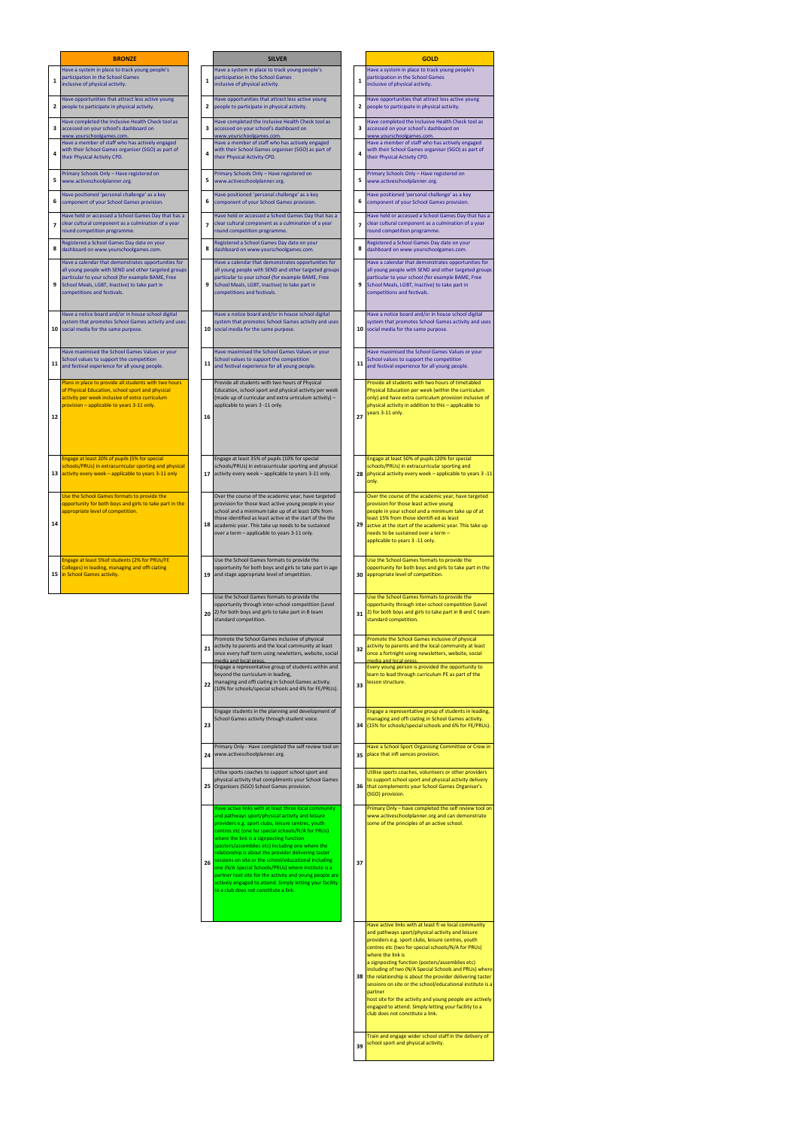|                | <b>BRONZE</b>                                                                                                                                                                                                                                                    |              | <b>SILVER</b>                                                                                                                                                                                                                                                                                                                         |                | <b>GOLD</b>                                                                                                                                                                                                                                                                                                                         |
|----------------|------------------------------------------------------------------------------------------------------------------------------------------------------------------------------------------------------------------------------------------------------------------|--------------|---------------------------------------------------------------------------------------------------------------------------------------------------------------------------------------------------------------------------------------------------------------------------------------------------------------------------------------|----------------|-------------------------------------------------------------------------------------------------------------------------------------------------------------------------------------------------------------------------------------------------------------------------------------------------------------------------------------|
| $\mathbf{1}$   | Have a system in place to track young people's<br>participation in the School Games<br>inclusive of physical activity.                                                                                                                                           | $\mathbf 1$  | Have a system in place to track young people's<br>participation in the School Games<br>inclusive of physical activity.                                                                                                                                                                                                                | $\mathbf 1$    | Have a system in place to track young people's<br>participation in the School Games<br>inclusive of physical activity.                                                                                                                                                                                                              |
| 2              | Have opportunities that attract less active young<br>people to participate in physical activity.                                                                                                                                                                 | $\mathbf{2}$ | Have opportunities that attract less active young<br>people to participate in physical activity.                                                                                                                                                                                                                                      |                | Have opportunities that attract less active young<br>2 people to participate in physical activity.                                                                                                                                                                                                                                  |
| з<br>4         | Have completed the Inclusive Health Check tool as<br>accessed on your school's dashboard on<br>www.vourschoolgames.com.<br>Have a member of staff who has actively engaged<br>with their School Games organiser (SGO) as part of<br>their Physical Activity CPD. | з<br>4       | Have completed the Inclusive Health Check tool as<br>accessed on your school's dashboard on<br>www.vourschoolgames.com.<br>Have a member of staff who has actively engaged<br>with their School Games organiser (SGO) as part of<br>their Physical Activity CPD.                                                                      | з<br>4         | Have completed the Inclusive Health Check tool as<br>accessed on your school's dashboard on<br>www.vourschoolgames.com.<br>Have a member of staff who has actively engaged<br>with their School Games organiser (SGO) as part of<br>their Physical Activity CPD.                                                                    |
| 5              | Primary Schools Only - Have registered on<br>www.activeschoolplanner.org.                                                                                                                                                                                        | 5            | Primary Schools Only - Have registered on<br>www.activeschoolplanner.org.                                                                                                                                                                                                                                                             | 5              | Primary Schools Only - Have registered on<br>www.activeschoolplanner.org.                                                                                                                                                                                                                                                           |
| 6              | Have positioned 'personal challenge' as a key<br>component of your School Games provision.                                                                                                                                                                       | 6            | Have positioned 'personal challenge' as a key<br>component of your School Games provision.                                                                                                                                                                                                                                            | 6              | Have positioned 'personal challenge' as a key<br>component of your School Games provision.                                                                                                                                                                                                                                          |
| $\overline{ }$ | Have held or accessed a School Games Day that has a<br>clear cultural component as a culmination of a year<br>round competition programme.                                                                                                                       |              | Have held or accessed a School Games Day that has a<br>7 clear cultural component as a culmination of a year<br>round competition programme.                                                                                                                                                                                          | $\overline{ }$ | Have held or accessed a School Games Day that has a<br>clear cultural component as a culmination of a year<br>round competition programme.                                                                                                                                                                                          |
| 8              | Registered a School Games Day date on your<br>dashboard on www.yourschoolgames.com.                                                                                                                                                                              | 8            | Registered a School Games Day date on your<br>dashboard on www.yourschoolgames.com.                                                                                                                                                                                                                                                   | 8              | Registered a School Games Day date on your<br>dashboard on www.yourschoolgames.com.                                                                                                                                                                                                                                                 |
| 9              | Have a calendar that demonstrates opportunities for<br>all young people with SEND and other targeted groups<br>particular to your school (for example BAME, Free<br>School Meals, LGBT, Inactive) to take part in<br>competitions and festivals.                 | 9            | Have a calendar that demonstrates opportunities for<br>all young people with SEND and other targeted groups<br>particular to your school (for example BAME, Free<br>School Meals, LGBT, Inactive) to take part in<br>competitions and festivals.                                                                                      | 9              | Have a calendar that demonstrates opportunities for<br>all young people with SEND and other targeted groups<br>particular to your school (for example BAME, Free<br>School Meals, LGBT, Inactive) to take part in<br>competitions and festivals.                                                                                    |
|                | Have a notice board and/or in house school digital<br>system that promotes School Games activity and uses<br>10 social media for the same purpose.                                                                                                               |              | Have a notice board and/or in house school digital<br>system that promotes School Games activity and uses<br>10 social media for the same purpose.                                                                                                                                                                                    |                | Have a notice board and/or in house school digital<br>system that promotes School Games activity and uses<br>10 social media for the same purpose.                                                                                                                                                                                  |
| 11             | Have maximised the School Games Values or your<br>School values to support the competition<br>and festival experience for all young people.                                                                                                                      | 11           | Have maximised the School Games Values or your<br>School values to support the competition<br>and festival experience for all young people.                                                                                                                                                                                           | 11             | Have maximised the School Games Values or your<br>School values to support the competition<br>and festival experience for all young people.                                                                                                                                                                                         |
| 12             | Plans in place to provide all students with two hours<br>of Physical Education, school sport and physical<br>activity per week inclusive of extra curriculum<br>provision - applicable to years 3-11 only.                                                       | 16           | Provide all students with two hours of Physical<br>Education, school sport and physical activity per week<br>(made up of curricular and extra urriculum activity) -<br>applicable to years 3 -11 only.                                                                                                                                | 27             | Provide all students with two hours of timetabled<br>Physical Education per week (within the curriculum<br>only) and have extra curriculum provision inclusive of<br>physical activity in addition to this - applicable to<br>years 3-11 only.                                                                                      |
|                | Engage at least 20% of pupils (5% for special<br>schools/PRUs) in extracurricular sporting and physical<br>13 activity every week – applicable to years 3-11 only                                                                                                |              | Engage at least 35% of pupils (10% for special<br>schools/PRUs) in extracurricular sporting and physical<br>17 activity every week - applicable to years 3-11 only.                                                                                                                                                                   |                | Engage at least 50% of pupils (20% for special<br>schools/PRUs) in extracurricular sporting and<br>28 $\vert$ physical activity every week – applicable to years 3 -11<br>only.                                                                                                                                                     |
| 14             | Use the School Games formats to provide the<br>opportunity for both boys and girls to take part in the<br>appropriate level of competition.                                                                                                                      |              | Over the course of the academic year, have targeted<br>provision for those least active young people in your<br>school and a minimum take up of at least 10% from<br>those identified as least active at the start of the the<br>18 academic year. This take up needs to be sustained<br>over a term - applicable to years 3-11 only. | 29             | Over the course of the academic year, have targeted<br>provision for those least active young<br>people in your school and a minimum take up of at<br>least 15% from those identifi ed as least<br>active at the start of the academic year. This take up<br>needs to be sustained over a term -<br>applicable to years 3 -11 only. |
|                | Engage at least 5% of students (2% for PRUs/FE<br>Colleges) in leading, managing and offi ciating<br>15 in School Games activity.                                                                                                                                |              | Use the School Games formats to provide the<br>opportunity for both boys and girls to take part in age<br>19 and stage appropriate level of ompetition.                                                                                                                                                                               | 30             | Use the School Games formats to provide the<br>opportunity for both boys and girls to take part in the<br>appropriate level of competition.                                                                                                                                                                                         |
|                |                                                                                                                                                                                                                                                                  |              | Use the School Games formats to provide the<br>opportunity through inter-school competition (Level<br>20 2) for both boys and girls to take part in B team<br>standard competition.                                                                                                                                                   | 31             | Use the School Games formats to provide the<br>opportunity through inter-school competition (Level<br>2) for both boys and girls to take part in B and C team<br>standard competition.                                                                                                                                              |
|                |                                                                                                                                                                                                                                                                  |              | Promote the School Games inclusive of physical<br>21 activity to parents and the local community at least<br>once every half term using newletters, website, social<br>media and local press.                                                                                                                                         | 32             | Promote the School Games inclusive of physical<br>activity to parents and the local community at least<br>once a fortnight using newsletters, website, social<br>media and local press.                                                                                                                                             |
|                |                                                                                                                                                                                                                                                                  | 22           | Engage a representative group of students within and<br>beyond the curriculum in leading,<br>managing and offi ciating in School Games activity.<br>(10% for schools/special schools and 4% for FE/PRUs).                                                                                                                             | 33             | Every young person is provided the opportunity to<br>learn to lead through curriculum PE as part of the<br>lesson structure.                                                                                                                                                                                                        |
|                |                                                                                                                                                                                                                                                                  | 23           | Engage students in the planning and development of<br>School Games activity through student voice.                                                                                                                                                                                                                                    |                | Engage a representative group of students in leading,<br>managing and offi ciating in School Games activity.<br>34 (15% for schools/special schools and 6% for FE/PRUs).                                                                                                                                                            |
|                |                                                                                                                                                                                                                                                                  |              | Primary Only - Have completed the self review tool on<br>24 www.activeschoolplanner.org.                                                                                                                                                                                                                                              |                | Have a School Sport Organising Committee or Crew in<br>35 place that infl uences provision.                                                                                                                                                                                                                                         |
|                |                                                                                                                                                                                                                                                                  |              | Utlise sports coaches to support school sport and<br>physical activity that compliments your School Games<br>25 Organisers (SGO) School Games provision.                                                                                                                                                                              |                | Utilise sports coaches, volunteers or other providers<br>to support school sport and physical activity delivery<br>36 that complements your School Games Organiser's<br>(SGO) provision.                                                                                                                                            |
|                |                                                                                                                                                                                                                                                                  |              | Have active links with at least three local community<br>and pathways sport/physical activity and leisure<br>providers e.g. sport clubs, leisure centres, youth<br>centres etc (one for special schools/N/A for PRUs)                                                                                                                 |                | Primary Only - have completed the self review tool on<br>www.activeschoolplanner.org and can demonstrate<br>some of the principles of an active school.                                                                                                                                                                             |

**26**

| where the link is a signposting function<br>(posters/assemblies etc) including one where the<br>relationship is about the provider delivering taster<br>sessions on site or the school/educational including<br>one (N/A Special Schools/PRUs) where institute is a<br>partner host site for the activity and young people are<br>actively engaged to attend. Simply letting your facility<br>to a club does not constitute a link. | 37 |                                                                                                                                                                                                                                                                                                                                                                                                                                                                                                                                                                                                                                                    |
|-------------------------------------------------------------------------------------------------------------------------------------------------------------------------------------------------------------------------------------------------------------------------------------------------------------------------------------------------------------------------------------------------------------------------------------|----|----------------------------------------------------------------------------------------------------------------------------------------------------------------------------------------------------------------------------------------------------------------------------------------------------------------------------------------------------------------------------------------------------------------------------------------------------------------------------------------------------------------------------------------------------------------------------------------------------------------------------------------------------|
|                                                                                                                                                                                                                                                                                                                                                                                                                                     | 38 | Have active links with at least fi ve local community<br>and pathways sport/physical activity and leisure<br>providers e.g. sport clubs, leisure centres, youth<br>centres etc (two for special schools/N/A for PRUs)<br>where the link is<br>a signposting function (posters/assemblies etc)<br>including of two (N/A Special Schools and PRUs) where<br>the relationship is about the provider delivering taster<br>sessions on site or the school/educational institute is a<br>partner<br>host site for the activity and young people are actively<br>engaged to attend. Simply letting your facility to a<br>club does not constitute a link. |
|                                                                                                                                                                                                                                                                                                                                                                                                                                     | 39 | Train and engage wider school staff in the delivery of<br>school sport and physical activity.                                                                                                                                                                                                                                                                                                                                                                                                                                                                                                                                                      |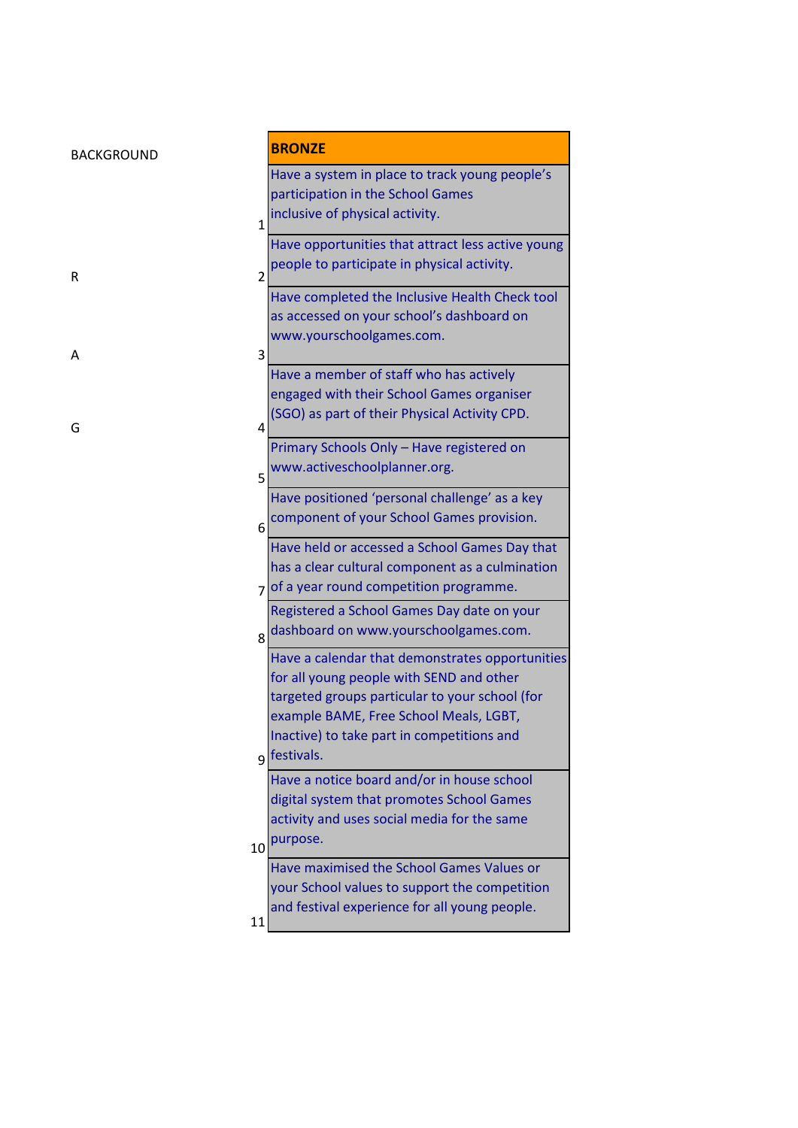| <b>BACKGROUND</b>   | <b>BRONZE</b>                                                                                                                                                                                                                         |
|---------------------|---------------------------------------------------------------------------------------------------------------------------------------------------------------------------------------------------------------------------------------|
| $\mathbf{1}$        | Have a system in place to track young people's<br>participation in the School Games<br>inclusive of physical activity.                                                                                                                |
| $\overline{2}$<br>R | Have opportunities that attract less active young<br>people to participate in physical activity.                                                                                                                                      |
|                     | Have completed the Inclusive Health Check tool<br>as accessed on your school's dashboard on<br>www.yourschoolgames.com.                                                                                                               |
| 3<br>A              | Have a member of staff who has actively                                                                                                                                                                                               |
| 4<br>G              | engaged with their School Games organiser<br>(SGO) as part of their Physical Activity CPD.                                                                                                                                            |
| 5                   | Primary Schools Only - Have registered on<br>www.activeschoolplanner.org.                                                                                                                                                             |
| 6                   | Have positioned 'personal challenge' as a key<br>component of your School Games provision.                                                                                                                                            |
|                     | Have held or accessed a School Games Day that<br>has a clear cultural component as a culmination<br>7 of a year round competition programme.                                                                                          |
| 8                   | Registered a School Games Day date on your<br>dashboard on www.yourschoolgames.com.                                                                                                                                                   |
|                     | Have a calendar that demonstrates opportunities<br>for all young people with SEND and other<br>targeted groups particular to your school (for<br>example BAME, Free School Meals, LGBT,<br>Inactive) to take part in competitions and |
|                     | q festivals.<br>Have a notice board and/or in house school<br>digital system that promotes School Games                                                                                                                               |
| 10                  | activity and uses social media for the same<br>purpose.                                                                                                                                                                               |
| 11                  | Have maximised the School Games Values or<br>your School values to support the competition<br>and festival experience for all young people.                                                                                           |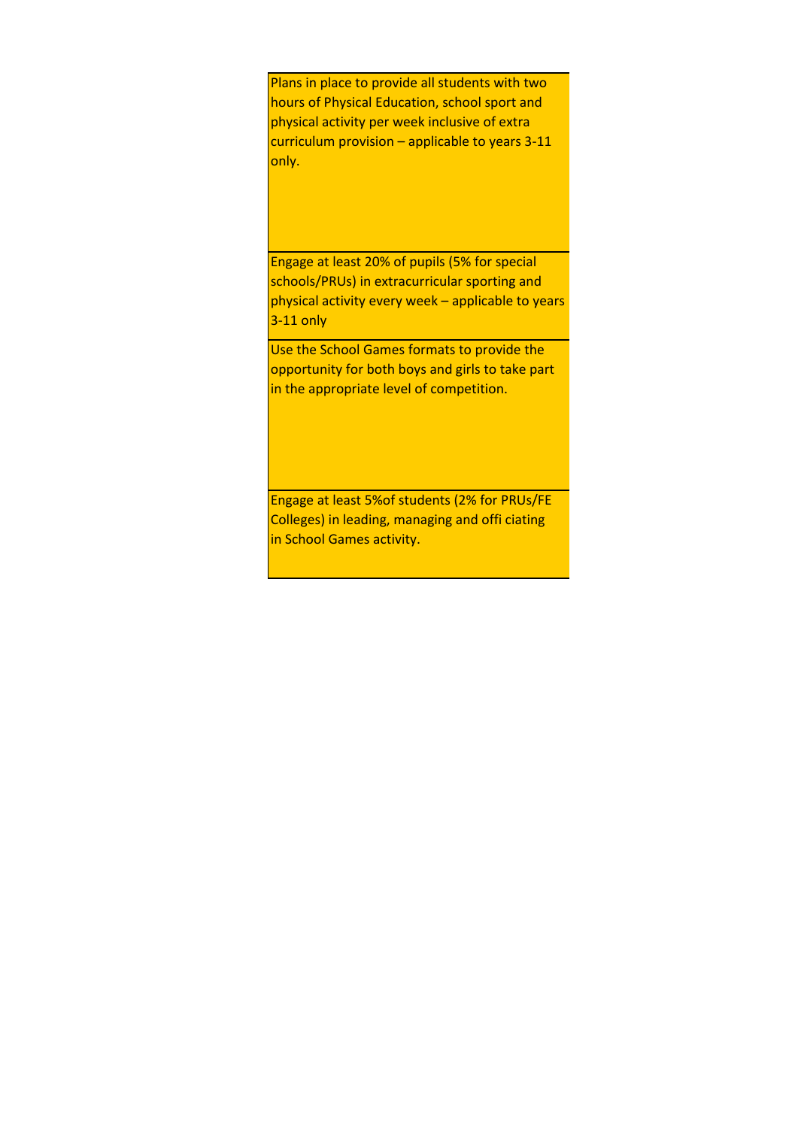Plans in place to provide all students with two hours of Physical Education, school sport and physical activity per week inclusive of extra curriculum provision – applicable to years 3-11 only.

Engage at least 20% of pupils (5% for special schools/PRUs) in extracurricular sporting and physical activity every week – applicable to years  $3-11$  only

Use the School Games formats to provide the opportunity for both boys and girls to take part in the appropriate level of competition.

Engage at least 5%of students (2% for PRUs/FE Colleges) in leading, managing and offi ciating in School Games activity.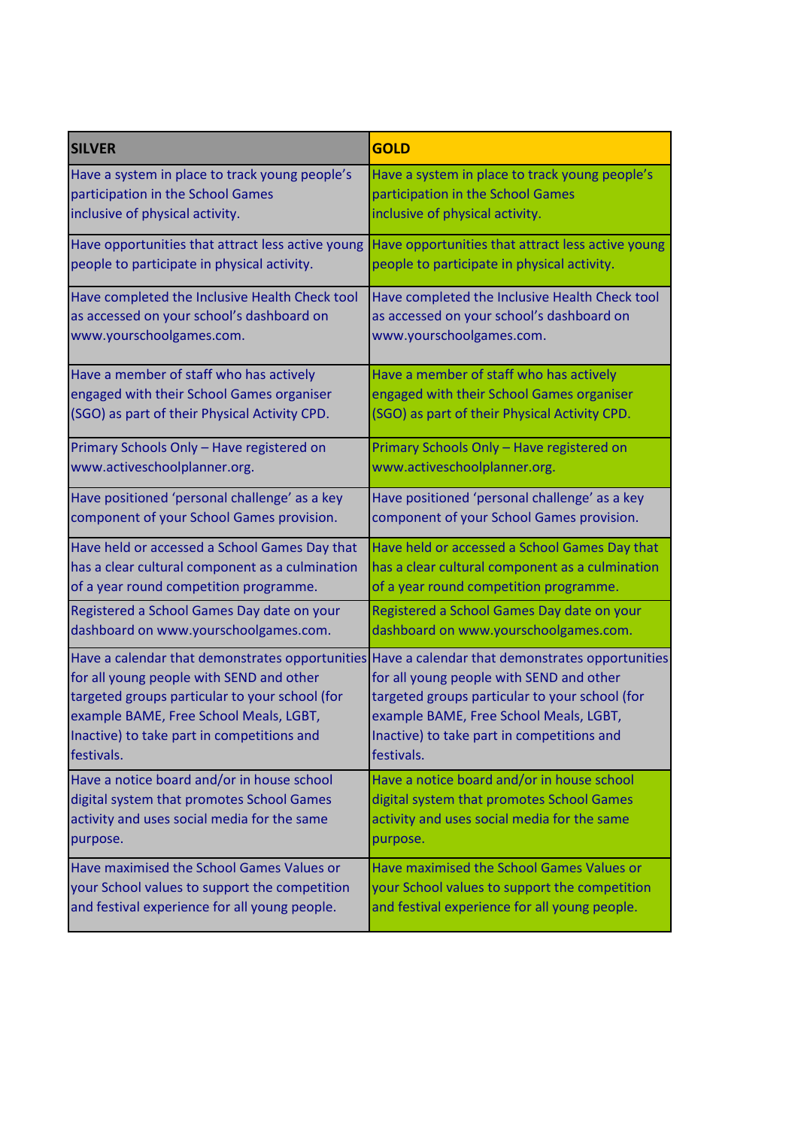| <b>SILVER</b>                                                                                                                                                                                    | <b>GOLD</b>                                                                                                                                                                                                                                                                                         |
|--------------------------------------------------------------------------------------------------------------------------------------------------------------------------------------------------|-----------------------------------------------------------------------------------------------------------------------------------------------------------------------------------------------------------------------------------------------------------------------------------------------------|
| Have a system in place to track young people's                                                                                                                                                   | Have a system in place to track young people's                                                                                                                                                                                                                                                      |
| participation in the School Games                                                                                                                                                                | participation in the School Games                                                                                                                                                                                                                                                                   |
| inclusive of physical activity.                                                                                                                                                                  | inclusive of physical activity.                                                                                                                                                                                                                                                                     |
| Have opportunities that attract less active young                                                                                                                                                | Have opportunities that attract less active young                                                                                                                                                                                                                                                   |
| people to participate in physical activity.                                                                                                                                                      | people to participate in physical activity.                                                                                                                                                                                                                                                         |
| Have completed the Inclusive Health Check tool                                                                                                                                                   | Have completed the Inclusive Health Check tool                                                                                                                                                                                                                                                      |
| as accessed on your school's dashboard on                                                                                                                                                        | as accessed on your school's dashboard on                                                                                                                                                                                                                                                           |
| www.yourschoolgames.com.                                                                                                                                                                         | www.yourschoolgames.com.                                                                                                                                                                                                                                                                            |
| Have a member of staff who has actively                                                                                                                                                          | Have a member of staff who has actively                                                                                                                                                                                                                                                             |
| engaged with their School Games organiser                                                                                                                                                        | engaged with their School Games organiser                                                                                                                                                                                                                                                           |
| (SGO) as part of their Physical Activity CPD.                                                                                                                                                    | (SGO) as part of their Physical Activity CPD.                                                                                                                                                                                                                                                       |
| Primary Schools Only - Have registered on                                                                                                                                                        | Primary Schools Only - Have registered on                                                                                                                                                                                                                                                           |
| www.activeschoolplanner.org.                                                                                                                                                                     | www.activeschoolplanner.org.                                                                                                                                                                                                                                                                        |
| Have positioned 'personal challenge' as a key                                                                                                                                                    | Have positioned 'personal challenge' as a key                                                                                                                                                                                                                                                       |
| component of your School Games provision.                                                                                                                                                        | component of your School Games provision.                                                                                                                                                                                                                                                           |
| Have held or accessed a School Games Day that                                                                                                                                                    | Have held or accessed a School Games Day that                                                                                                                                                                                                                                                       |
| has a clear cultural component as a culmination                                                                                                                                                  | has a clear cultural component as a culmination                                                                                                                                                                                                                                                     |
| of a year round competition programme.                                                                                                                                                           | of a year round competition programme.                                                                                                                                                                                                                                                              |
| Registered a School Games Day date on your                                                                                                                                                       | Registered a School Games Day date on your                                                                                                                                                                                                                                                          |
| dashboard on www.yourschoolgames.com.                                                                                                                                                            | dashboard on www.yourschoolgames.com.                                                                                                                                                                                                                                                               |
| for all young people with SEND and other<br>targeted groups particular to your school (for<br>example BAME, Free School Meals, LGBT,<br>Inactive) to take part in competitions and<br>festivals. | Have a calendar that demonstrates opportunities Have a calendar that demonstrates opportunities<br>for all young people with SEND and other<br>targeted groups particular to your school (for<br>example BAME, Free School Meals, LGBT,<br>Inactive) to take part in competitions and<br>festivals. |
| Have a notice board and/or in house school                                                                                                                                                       | Have a notice board and/or in house school                                                                                                                                                                                                                                                          |
| digital system that promotes School Games                                                                                                                                                        | digital system that promotes School Games                                                                                                                                                                                                                                                           |
| activity and uses social media for the same                                                                                                                                                      | activity and uses social media for the same                                                                                                                                                                                                                                                         |
| purpose.                                                                                                                                                                                         | purpose.                                                                                                                                                                                                                                                                                            |
| Have maximised the School Games Values or                                                                                                                                                        | Have maximised the School Games Values or                                                                                                                                                                                                                                                           |
| your School values to support the competition                                                                                                                                                    | your School values to support the competition                                                                                                                                                                                                                                                       |
| and festival experience for all young people.                                                                                                                                                    | and festival experience for all young people.                                                                                                                                                                                                                                                       |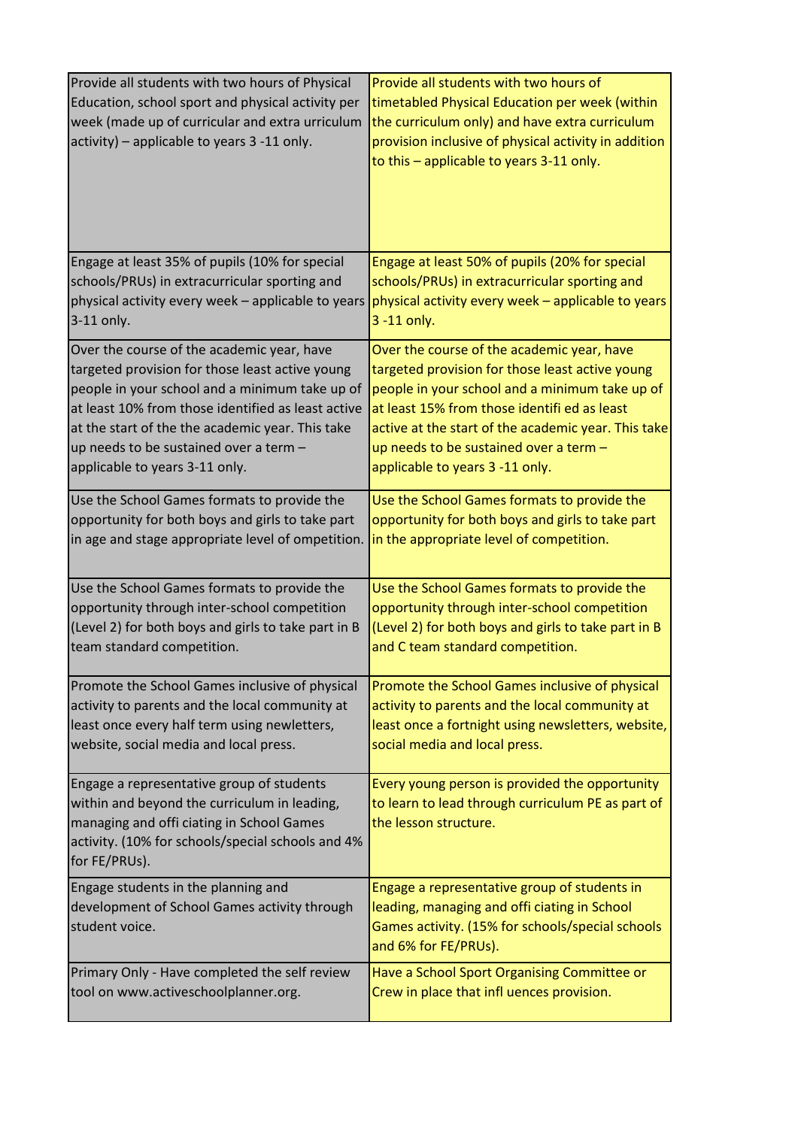| Provide all students with two hours of Physical<br>Education, school sport and physical activity per<br>week (made up of curricular and extra urriculum<br>activity) - applicable to years 3 -11 only.       | Provide all students with two hours of<br>timetabled Physical Education per week (within<br>the curriculum only) and have extra curriculum<br>provision inclusive of physical activity in addition<br>to this - applicable to years 3-11 only. |
|--------------------------------------------------------------------------------------------------------------------------------------------------------------------------------------------------------------|------------------------------------------------------------------------------------------------------------------------------------------------------------------------------------------------------------------------------------------------|
| Engage at least 35% of pupils (10% for special                                                                                                                                                               | Engage at least 50% of pupils (20% for special                                                                                                                                                                                                 |
| schools/PRUs) in extracurricular sporting and                                                                                                                                                                | schools/PRUs) in extracurricular sporting and                                                                                                                                                                                                  |
| physical activity every week - applicable to years                                                                                                                                                           | physical activity every week - applicable to years                                                                                                                                                                                             |
| 3-11 only.                                                                                                                                                                                                   | 3 -11 only.                                                                                                                                                                                                                                    |
| Over the course of the academic year, have                                                                                                                                                                   | Over the course of the academic year, have                                                                                                                                                                                                     |
| targeted provision for those least active young                                                                                                                                                              | targeted provision for those least active young                                                                                                                                                                                                |
| people in your school and a minimum take up of                                                                                                                                                               | people in your school and a minimum take up of                                                                                                                                                                                                 |
| at least 10% from those identified as least active                                                                                                                                                           | at least 15% from those identifi ed as least                                                                                                                                                                                                   |
| at the start of the the academic year. This take                                                                                                                                                             | active at the start of the academic year. This take                                                                                                                                                                                            |
| up needs to be sustained over a term -                                                                                                                                                                       | up needs to be sustained over a term -                                                                                                                                                                                                         |
| applicable to years 3-11 only.                                                                                                                                                                               | applicable to years 3 -11 only.                                                                                                                                                                                                                |
| Use the School Games formats to provide the                                                                                                                                                                  | Use the School Games formats to provide the                                                                                                                                                                                                    |
| opportunity for both boys and girls to take part                                                                                                                                                             | opportunity for both boys and girls to take part                                                                                                                                                                                               |
| in age and stage appropriate level of ompetition.                                                                                                                                                            | in the appropriate level of competition.                                                                                                                                                                                                       |
| Use the School Games formats to provide the                                                                                                                                                                  | Use the School Games formats to provide the                                                                                                                                                                                                    |
| opportunity through inter-school competition                                                                                                                                                                 | opportunity through inter-school competition                                                                                                                                                                                                   |
| (Level 2) for both boys and girls to take part in B                                                                                                                                                          | (Level 2) for both boys and girls to take part in B                                                                                                                                                                                            |
| team standard competition.                                                                                                                                                                                   | and C team standard competition.                                                                                                                                                                                                               |
| Promote the School Games inclusive of physical                                                                                                                                                               | Promote the School Games inclusive of physical                                                                                                                                                                                                 |
| activity to parents and the local community at                                                                                                                                                               | activity to parents and the local community at                                                                                                                                                                                                 |
| least once every half term using newletters,                                                                                                                                                                 | least once a fortnight using newsletters, website,                                                                                                                                                                                             |
| website, social media and local press.                                                                                                                                                                       | social media and local press.                                                                                                                                                                                                                  |
| Engage a representative group of students<br>within and beyond the curriculum in leading,<br>managing and offi ciating in School Games<br>activity. (10% for schools/special schools and 4%<br>for FE/PRUs). | Every young person is provided the opportunity<br>to learn to lead through curriculum PE as part of<br>the lesson structure.                                                                                                                   |
| Engage students in the planning and<br>development of School Games activity through<br>student voice.                                                                                                        | Engage a representative group of students in<br>leading, managing and offi ciating in School<br>Games activity. (15% for schools/special schools<br>and 6% for FE/PRUs).                                                                       |
| Primary Only - Have completed the self review                                                                                                                                                                | Have a School Sport Organising Committee or                                                                                                                                                                                                    |
| tool on www.activeschoolplanner.org.                                                                                                                                                                         | Crew in place that infl uences provision.                                                                                                                                                                                                      |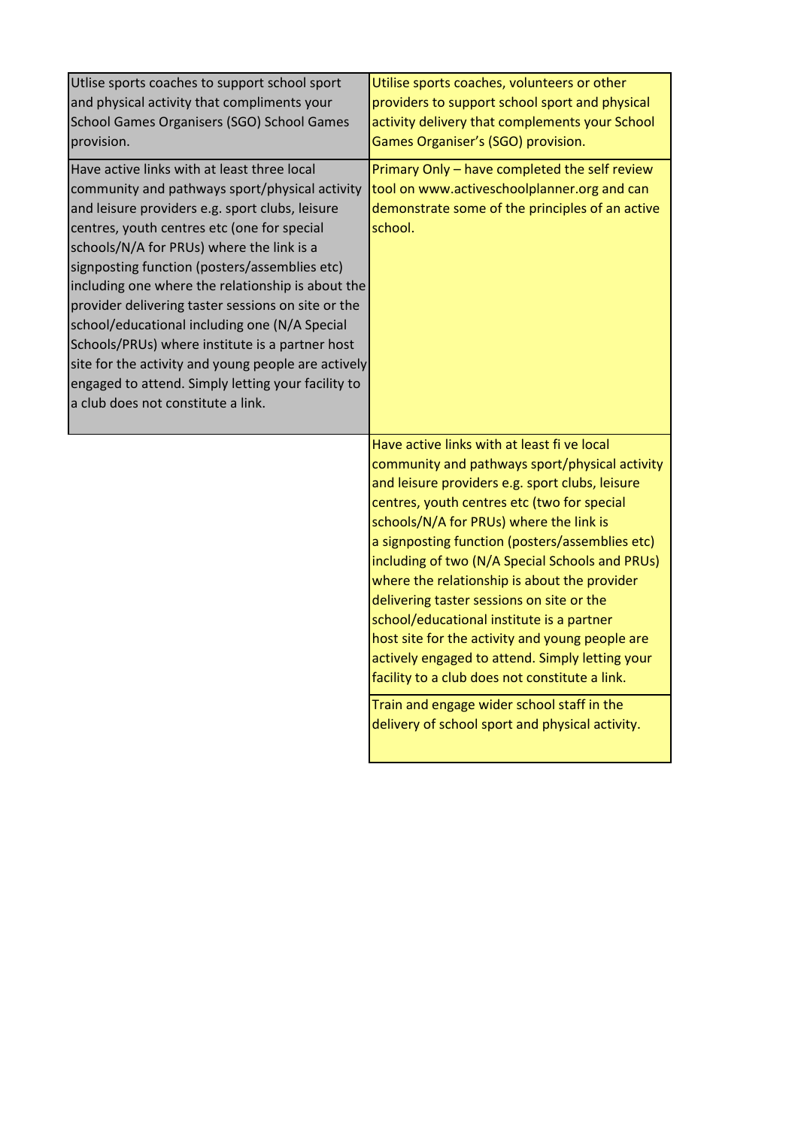| Utlise sports coaches to support school sport                                                                                                                                                                                                                                                                                                                                                                                                                                                                                                                                                                                                                   | Utilise sports coaches, volunteers or other                                                                                                                                                                                                                                                                                                                                                                                                                                                                                                                                                                                                                                                                                                         |  |  |
|-----------------------------------------------------------------------------------------------------------------------------------------------------------------------------------------------------------------------------------------------------------------------------------------------------------------------------------------------------------------------------------------------------------------------------------------------------------------------------------------------------------------------------------------------------------------------------------------------------------------------------------------------------------------|-----------------------------------------------------------------------------------------------------------------------------------------------------------------------------------------------------------------------------------------------------------------------------------------------------------------------------------------------------------------------------------------------------------------------------------------------------------------------------------------------------------------------------------------------------------------------------------------------------------------------------------------------------------------------------------------------------------------------------------------------------|--|--|
| and physical activity that compliments your                                                                                                                                                                                                                                                                                                                                                                                                                                                                                                                                                                                                                     | providers to support school sport and physical                                                                                                                                                                                                                                                                                                                                                                                                                                                                                                                                                                                                                                                                                                      |  |  |
| School Games Organisers (SGO) School Games                                                                                                                                                                                                                                                                                                                                                                                                                                                                                                                                                                                                                      | activity delivery that complements your School                                                                                                                                                                                                                                                                                                                                                                                                                                                                                                                                                                                                                                                                                                      |  |  |
| provision.                                                                                                                                                                                                                                                                                                                                                                                                                                                                                                                                                                                                                                                      | Games Organiser's (SGO) provision.                                                                                                                                                                                                                                                                                                                                                                                                                                                                                                                                                                                                                                                                                                                  |  |  |
| Have active links with at least three local<br>community and pathways sport/physical activity<br>and leisure providers e.g. sport clubs, leisure<br>centres, youth centres etc (one for special<br>schools/N/A for PRUs) where the link is a<br>signposting function (posters/assemblies etc)<br>including one where the relationship is about the<br>provider delivering taster sessions on site or the<br>school/educational including one (N/A Special<br>Schools/PRUs) where institute is a partner host<br>site for the activity and young people are actively<br>engaged to attend. Simply letting your facility to<br>a club does not constitute a link. | Primary Only - have completed the self review<br>tool on www.activeschoolplanner.org and can<br>demonstrate some of the principles of an active<br>school.                                                                                                                                                                                                                                                                                                                                                                                                                                                                                                                                                                                          |  |  |
|                                                                                                                                                                                                                                                                                                                                                                                                                                                                                                                                                                                                                                                                 | Have active links with at least fi ve local<br>community and pathways sport/physical activity<br>and leisure providers e.g. sport clubs, leisure<br>centres, youth centres etc (two for special<br>schools/N/A for PRUs) where the link is<br>a signposting function (posters/assemblies etc)<br>including of two (N/A Special Schools and PRUs)<br>where the relationship is about the provider<br>delivering taster sessions on site or the<br>school/educational institute is a partner<br>host site for the activity and young people are<br>actively engaged to attend. Simply letting your<br>facility to a club does not constitute a link.<br>Train and engage wider school staff in the<br>delivery of school sport and physical activity. |  |  |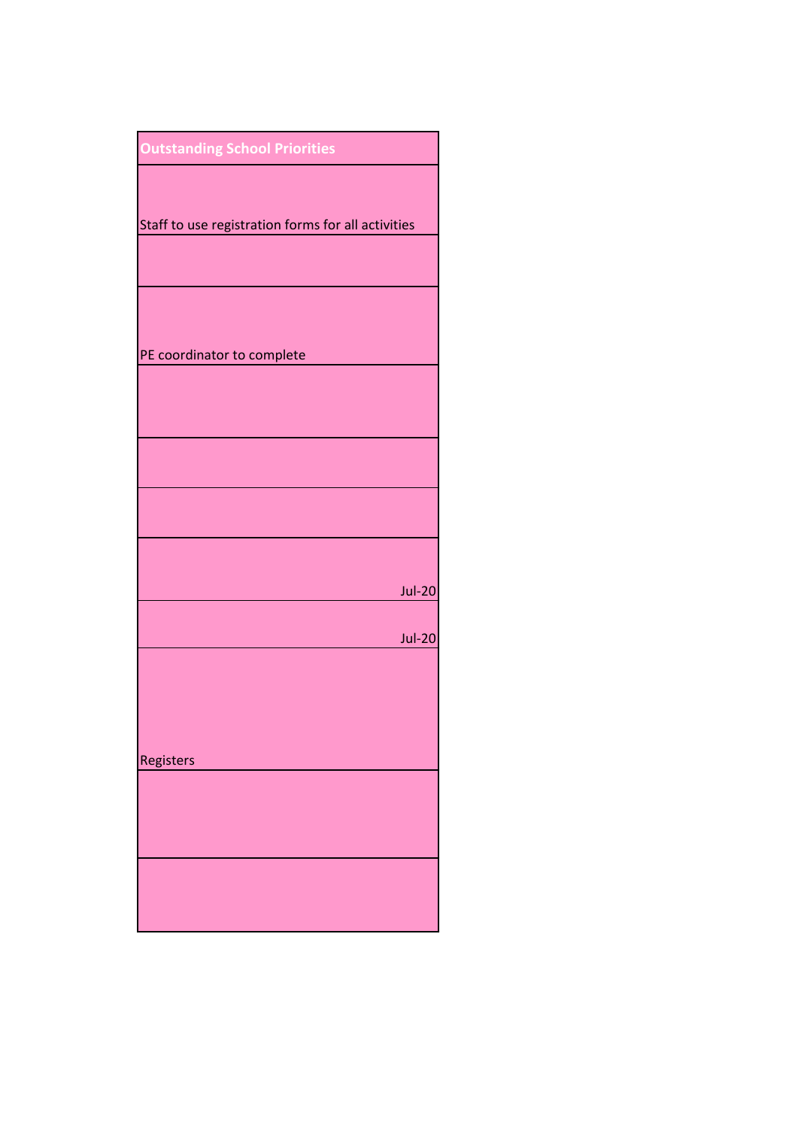| <b>Outstanding School Priorities</b> |  |  |
|--------------------------------------|--|--|
|                                      |  |  |

Staff to use registration forms for all activities

PE coordinator to complete

 $Jul-20$ 

 $Jul-20$ 

Registers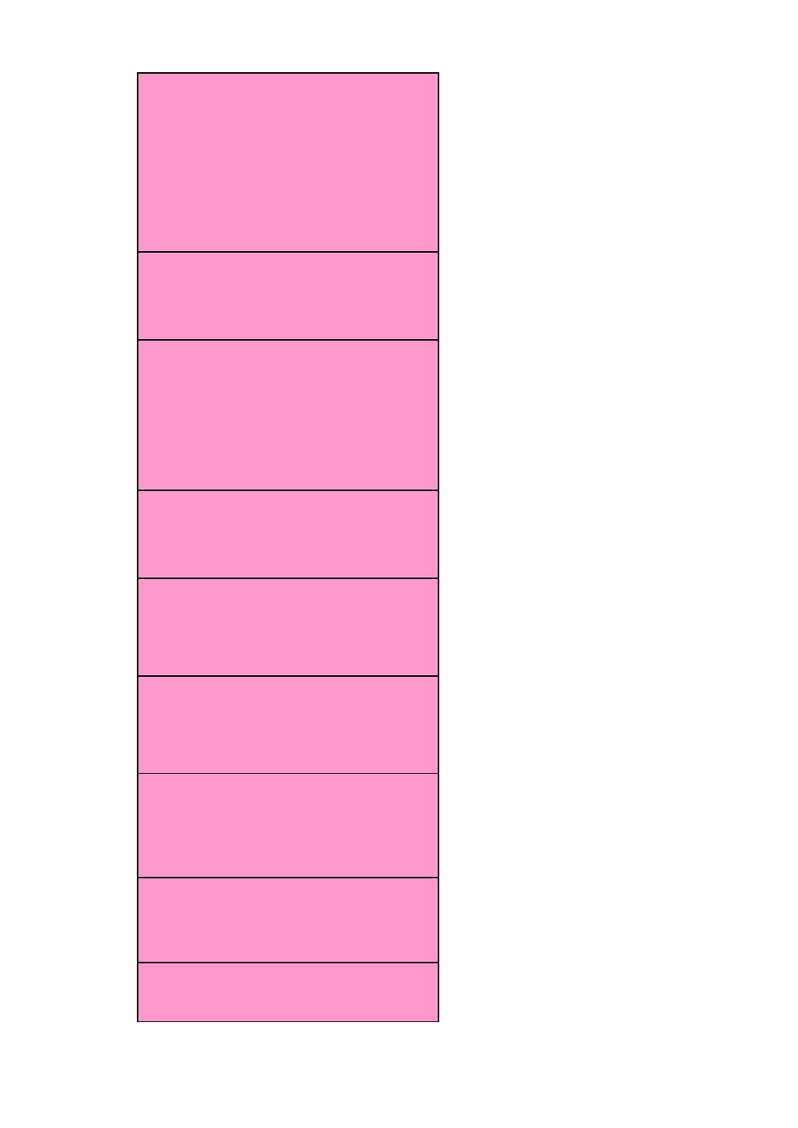